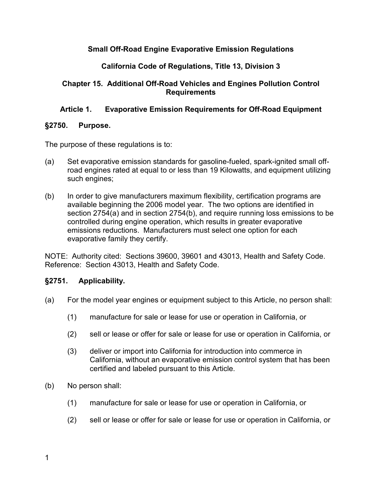# **Small Off-Road Engine Evaporative Emission Regulations**

# **California Code of Regulations, Title 13, Division 3**

# **Chapter 15. Additional Off-Road Vehicles and Engines Pollution Control Requirements**

# **Article 1. Evaporative Emission Requirements for Off-Road Equipment**

### **§2750. Purpose.**

The purpose of these regulations is to:

- (a) Set evaporative emission standards for gasoline-fueled, spark-ignited small offroad engines rated at equal to or less than 19 Kilowatts, and equipment utilizing such engines;
- (b) In order to give manufacturers maximum flexibility, certification programs are available beginning the 2006 model year. The two options are identified in section 2754(a) and in section 2754(b), and require running loss emissions to be controlled during engine operation, which results in greater evaporative emissions reductions. Manufacturers must select one option for each evaporative family they certify.

NOTE: Authority cited: Sections 39600, 39601 and 43013, Health and Safety Code. Reference: Section 43013, Health and Safety Code.

# **§2751. Applicability.**

- (a) For the model year engines or equipment subject to this Article, no person shall:
	- (1) manufacture for sale or lease for use or operation in California, or
	- (2) sell or lease or offer for sale or lease for use or operation in California, or
	- (3) deliver or import into California for introduction into commerce in California, without an evaporative emission control system that has been certified and labeled pursuant to this Article.
- (b) No person shall:
	- (1) manufacture for sale or lease for use or operation in California, or
	- (2) sell or lease or offer for sale or lease for use or operation in California, or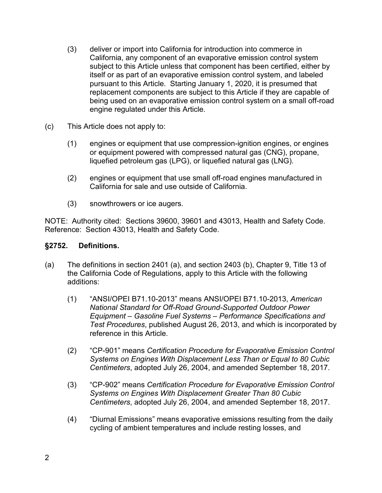- (3) deliver or import into California for introduction into commerce in California, any component of an evaporative emission control system subject to this Article unless that component has been certified, either by itself or as part of an evaporative emission control system, and labeled pursuant to this Article. Starting January 1, 2020, it is presumed that replacement components are subject to this Article if they are capable of being used on an evaporative emission control system on a small off-road engine regulated under this Article.
- (c) This Article does not apply to:
	- (1) engines or equipment that use compression-ignition engines, or engines or equipment powered with compressed natural gas (CNG), propane, liquefied petroleum gas (LPG), or liquefied natural gas (LNG).
	- (2) engines or equipment that use small off-road engines manufactured in California for sale and use outside of California.
	- (3) snowthrowers or ice augers.

#### **§2752. Definitions.**

- (a) The definitions in section 2401 (a), and section 2403 (b), Chapter 9, Title 13 of the California Code of Regulations, apply to this Article with the following additions:
	- (1) "ANSI/OPEI B71.10-2013" means ANSI/OPEI B71.10-2013, *American National Standard for Off-Road Ground-Supported Outdoor Power Equipment – Gasoline Fuel Systems – Performance Specifications and Test Procedures*, published August 26, 2013, and which is incorporated by reference in this Article.
	- (2) "CP-901" means *Certification Procedure for Evaporative Emission Control Systems on Engines With Displacement Less Than or Equal to 80 Cubic Centimeters*, adopted July 26, 2004, and amended September 18, 2017.
	- (3) "CP-902" means *Certification Procedure for Evaporative Emission Control Systems on Engines With Displacement Greater Than 80 Cubic Centimeters*, adopted July 26, 2004, and amended September 18, 2017.
	- (4) "Diurnal Emissions" means evaporative emissions resulting from the daily cycling of ambient temperatures and include resting losses, and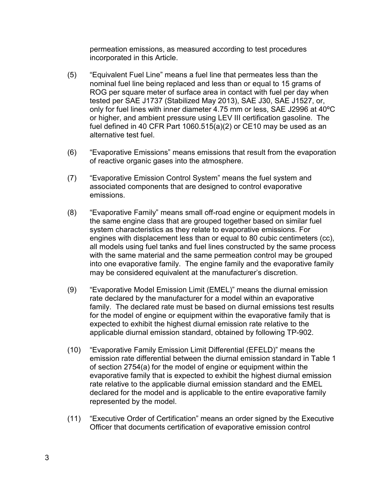permeation emissions, as measured according to test procedures incorporated in this Article.

- (5) "Equivalent Fuel Line" means a fuel line that permeates less than the nominal fuel line being replaced and less than or equal to 15 grams of ROG per square meter of surface area in contact with fuel per day when tested per SAE J1737 (Stabilized May 2013), SAE J30, SAE J1527, or, only for fuel lines with inner diameter 4.75 mm or less, SAE J2996 at 40ºC or higher, and ambient pressure using LEV III certification gasoline. The fuel defined in 40 CFR Part 1060.515(a)(2) or CE10 may be used as an alternative test fuel.
- (6) "Evaporative Emissions" means emissions that result from the evaporation of reactive organic gases into the atmosphere.
- (7) "Evaporative Emission Control System" means the fuel system and associated components that are designed to control evaporative emissions.
- (8) "Evaporative Family" means small off-road engine or equipment models in the same engine class that are grouped together based on similar fuel system characteristics as they relate to evaporative emissions. For engines with displacement less than or equal to 80 cubic centimeters (cc), all models using fuel tanks and fuel lines constructed by the same process with the same material and the same permeation control may be grouped into one evaporative family. The engine family and the evaporative family may be considered equivalent at the manufacturer's discretion.
- (9) "Evaporative Model Emission Limit (EMEL)" means the diurnal emission rate declared by the manufacturer for a model within an evaporative family. The declared rate must be based on diurnal emissions test results for the model of engine or equipment within the evaporative family that is expected to exhibit the highest diurnal emission rate relative to the applicable diurnal emission standard, obtained by following TP-902.
- (10) "Evaporative Family Emission Limit Differential (EFELD)" means the emission rate differential between the diurnal emission standard in Table 1 of section 2754(a) for the model of engine or equipment within the evaporative family that is expected to exhibit the highest diurnal emission rate relative to the applicable diurnal emission standard and the EMEL declared for the model and is applicable to the entire evaporative family represented by the model.
- (11) "Executive Order of Certification" means an order signed by the Executive Officer that documents certification of evaporative emission control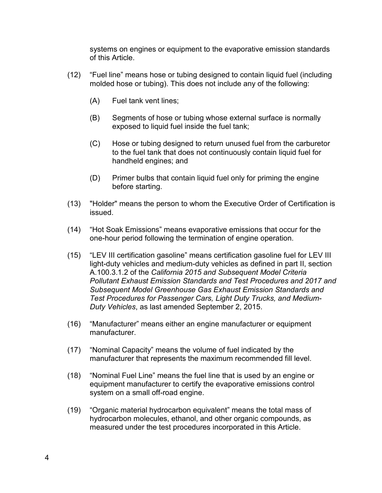systems on engines or equipment to the evaporative emission standards of this Article.

- (12) "Fuel line" means hose or tubing designed to contain liquid fuel (including molded hose or tubing). This does not include any of the following:
	- (A) Fuel tank vent lines;
	- (B) Segments of hose or tubing whose external surface is normally exposed to liquid fuel inside the fuel tank;
	- (C) Hose or tubing designed to return unused fuel from the carburetor to the fuel tank that does not continuously contain liquid fuel for handheld engines; and
	- (D) Primer bulbs that contain liquid fuel only for priming the engine before starting.
- (13) "Holder" means the person to whom the Executive Order of Certification is issued.
- (14) "Hot Soak Emissions" means evaporative emissions that occur for the one-hour period following the termination of engine operation.
- (15) "LEV III certification gasoline" means certification gasoline fuel for LEV III light-duty vehicles and medium-duty vehicles as defined in part II, section A.100.3.1.2 of the *California 2015 and Subsequent Model Criteria Pollutant Exhaust Emission Standards and Test Procedures and 2017 and Subsequent Model Greenhouse Gas Exhaust Emission Standards and Test Procedures for Passenger Cars, Light Duty Trucks, and Medium-Duty Vehicles*, as last amended September 2, 2015.
- (16) "Manufacturer" means either an engine manufacturer or equipment manufacturer.
- (17) "Nominal Capacity" means the volume of fuel indicated by the manufacturer that represents the maximum recommended fill level.
- (18) "Nominal Fuel Line" means the fuel line that is used by an engine or equipment manufacturer to certify the evaporative emissions control system on a small off-road engine.
- (19) "Organic material hydrocarbon equivalent" means the total mass of hydrocarbon molecules, ethanol, and other organic compounds, as measured under the test procedures incorporated in this Article.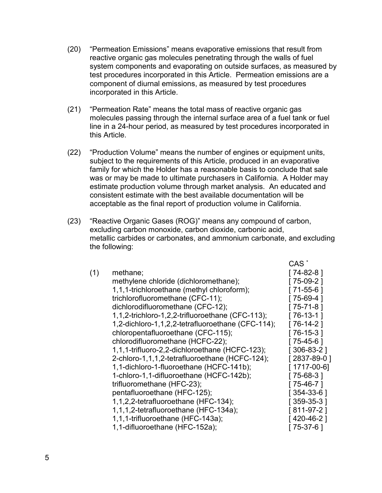- (20) "Permeation Emissions" means evaporative emissions that result from reactive organic gas molecules penetrating through the walls of fuel system components and evaporating on outside surfaces, as measured by test procedures incorporated in this Article. Permeation emissions are a component of diurnal emissions, as measured by test procedures incorporated in this Article.
- (21) "Permeation Rate" means the total mass of reactive organic gas molecules passing through the internal surface area of a fuel tank or fuel line in a 24-hour period, as measured by test procedures incorporated in this Article.
- (22) "Production Volume" means the number of engines or equipment units, subject to the requirements of this Article, produced in an evaporative family for which the Holder has a reasonable basis to conclude that sale was or may be made to ultimate purchasers in California. A Holder may estimate production volume through market analysis. An educated and consistent estimate with the best available documentation will be acceptable as the final report of production volume in California.
- (23) "Reactive Organic Gases (ROG)" means any compound of carbon, excluding carbon monoxide, carbon dioxide, carbonic acid, metallic carbides or carbonates, and ammonium carbonate, and excluding the following:

|     |                                                   | CAS <sup>*</sup> |
|-----|---------------------------------------------------|------------------|
| (1) | methane;                                          | [74-82-8]        |
|     | methylene chloride (dichloromethane);             | $75-09-2$ ]      |
|     | 1,1,1-trichloroethane (methyl chloroform);        | [ 71-55-6 ]      |
|     | trichlorofluoromethane (CFC-11);                  | $[75-69-4]$      |
|     | dichlorodifluoromethane (CFC-12);                 | $[75 - 71 - 8]$  |
|     | 1,1,2-trichloro-1,2,2-trifluoroethane (CFC-113);  | [ 76-13-1 ]      |
|     | 1,2-dichloro-1,1,2,2-tetrafluoroethane (CFC-114); | 76-14-2          |
|     | chloropentafluoroethane (CFC-115);                | [76-15-3]        |
|     | chlorodifluoromethane (HCFC-22);                  | [75-45-6]        |
|     | 1,1,1-trifluoro-2,2-dichloroethane (HCFC-123);    | $[306-83-2]$     |
|     | 2-chloro-1,1,1,2-tetrafluoroethane (HCFC-124);    | [2837-89-0]      |
|     | 1,1-dichloro-1-fluoroethane (HCFC-141b);          | [1717-00-6]      |
|     | 1-chloro-1,1-difluoroethane (HCFC-142b);          | 75-68-3          |
|     | trifluoromethane (HFC-23);                        | [75-46-7]        |
|     | pentafluoroethane (HFC-125);                      | [ 354-33-6 ]     |
|     | 1,1,2,2-tetrafluoroethane (HFC-134);              | $[359-35-3]$     |
|     | 1,1,1,2-tetrafluoroethane (HFC-134a);             | $[811-97-2]$     |
|     | 1,1,1-trifluoroethane (HFC-143a);                 | [420-46-2]       |
|     | 1,1-difluoroethane (HFC-152a);                    | $[75-37-6]$      |
|     |                                                   |                  |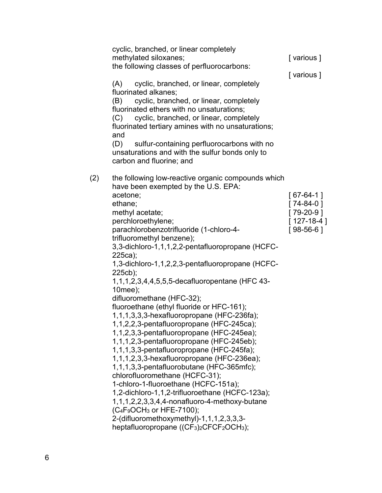|     | cyclic, branched, or linear completely<br>methylated siloxanes;<br>the following classes of perfluorocarbons:<br>(A) cyclic, branched, or linear, completely<br>fluorinated alkanes;<br>cyclic, branched, or linear, completely<br>(B)<br>fluorinated ethers with no unsaturations;<br>(C) cyclic, branched, or linear, completely<br>fluorinated tertiary amines with no unsaturations;<br>and<br>(D)<br>sulfur-containing perfluorocarbons with no<br>unsaturations and with the sulfur bonds only to<br>carbon and fluorine; and                                                                                                                                                                                                                                                                                                                                                                                                                                                                                                                                                                                                                                                                         | [various]<br>[various]                                                   |
|-----|-------------------------------------------------------------------------------------------------------------------------------------------------------------------------------------------------------------------------------------------------------------------------------------------------------------------------------------------------------------------------------------------------------------------------------------------------------------------------------------------------------------------------------------------------------------------------------------------------------------------------------------------------------------------------------------------------------------------------------------------------------------------------------------------------------------------------------------------------------------------------------------------------------------------------------------------------------------------------------------------------------------------------------------------------------------------------------------------------------------------------------------------------------------------------------------------------------------|--------------------------------------------------------------------------|
| (2) | the following low-reactive organic compounds which<br>have been exempted by the U.S. EPA:<br>acetone;<br>ethane;<br>methyl acetate;<br>perchloroethylene;<br>parachlorobenzotrifluoride (1-chloro-4-<br>trifluoromethyl benzene);<br>3,3-dichloro-1,1,1,2,2-pentafluoropropane (HCFC-<br>225ca);<br>1,3-dichloro-1,1,2,2,3-pentafluoropropane (HCFC-<br>225cb);<br>1,1,1,2,3,4,4,5,5,5-decafluoropentane (HFC 43-<br>$10$ mee $);$<br>difluoromethane (HFC-32);<br>fluoroethane (ethyl fluoride or HFC-161);<br>1,1,1,3,3,3-hexafluoropropane (HFC-236fa);<br>1,1,2,2,3-pentafluoropropane (HFC-245ca);<br>1,1,2,3,3-pentafluoropropane (HFC-245ea);<br>1,1,1,2,3-pentafluoropropane (HFC-245eb);<br>1,1,1,3,3-pentafluoropropane (HFC-245fa);<br>1,1,1,2,3,3-hexafluoropropane (HFC-236ea);<br>1,1,1,3,3-pentafluorobutane (HFC-365mfc);<br>chlorofluoromethane (HCFC-31);<br>1-chloro-1-fluoroethane (HCFC-151a);<br>1,2-dichloro-1,1,2-trifluoroethane (HCFC-123a);<br>1, 1, 1, 2, 2, 3, 3, 4, 4- non af luoro-4-methoxy-butane<br>$(C_4F_9OCH_3$ or HFE-7100);<br>2-(difluoromethoxymethyl)-1,1,1,2,3,3,3-<br>heptafluoropropane ((CF <sub>3</sub> ) <sub>2</sub> CFCF <sub>2</sub> OCH <sub>3</sub> ); | $[67-64-1]$<br>$[74-84-0]$<br>$[79-20-9]$<br>$[127-18-4]$<br>$[98-56-6]$ |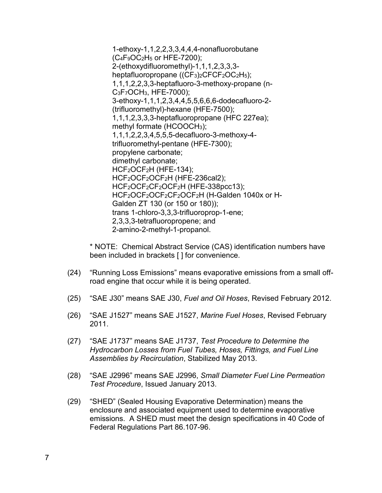1-ethoxy-1,1,2,2,3,3,4,4,4-nonafluorobutane  $(C_4F_9OC_2H_5$  or HFE-7200); 2-(ethoxydifluoromethyl)-1,1,1,2,3,3,3 heptafluoropropane ((CF<sub>3</sub>)<sub>2</sub>CFCF<sub>2</sub>OC<sub>2</sub>H<sub>5</sub>); 1,1,1,2,2,3,3-heptafluoro-3-methoxy-propane (n-C3F7OCH3, HFE-7000); 3-ethoxy-1,1,1,2,3,4,4,5,5,6,6,6-dodecafluoro-2- (trifluoromethyl)-hexane (HFE-7500); 1,1,1,2,3,3,3-heptafluoropropane (HFC 227ea); methyl formate (HCOOCH3); 1,1,1,2,2,3,4,5,5,5-decafluoro-3-methoxy-4 trifluoromethyl-pentane (HFE-7300); propylene carbonate; dimethyl carbonate; HCF<sub>2</sub>OCF<sub>2</sub>H (HFE-134); HCF<sub>2</sub>OCF<sub>2</sub>OCF<sub>2</sub>H (HFE-236cal2); HCF<sub>2</sub>OCF<sub>2</sub>CF<sub>2</sub>OCF<sub>2</sub>H (HFE-338pcc13); HCF<sub>2</sub>OCF<sub>2</sub>OCF<sub>2</sub>CF<sub>2</sub>OCF<sub>2</sub>H (H-Galden 1040x or H-Galden ZT 130 (or 150 or 180)); trans 1-chloro-3,3,3-trifluoroprop-1-ene; 2,3,3,3-tetrafluoropropene; and 2-amino-2-methyl-1-propanol.

\* NOTE: Chemical Abstract Service (CAS) identification numbers have been included in brackets [ ] for convenience.

- (24) "Running Loss Emissions" means evaporative emissions from a small offroad engine that occur while it is being operated.
- (25) "SAE J30" means SAE J30, *Fuel and Oil Hoses*, Revised February 2012.
- (26) "SAE J1527" means SAE J1527, *Marine Fuel Hoses*, Revised February 2011.
- (27) "SAE J1737" means SAE J1737, *Test Procedure to Determine the Hydrocarbon Losses from Fuel Tubes, Hoses, Fittings, and Fuel Line Assemblies by Recirculation*, Stabilized May 2013.
- (28) "SAE J2996" means SAE J2996, *Small Diameter Fuel Line Permeation Test Procedure*, Issued January 2013.
- (29) "SHED" (Sealed Housing Evaporative Determination) means the enclosure and associated equipment used to determine evaporative emissions. A SHED must meet the design specifications in 40 Code of Federal Regulations Part 86.107-96.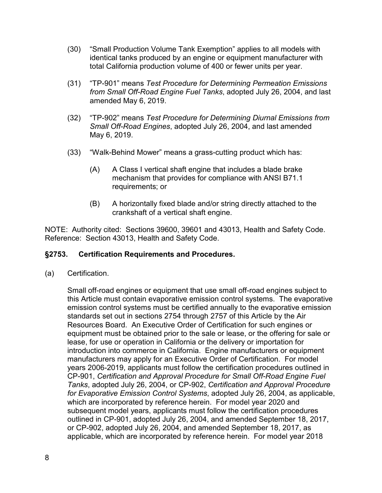- (30) "Small Production Volume Tank Exemption" applies to all models with identical tanks produced by an engine or equipment manufacturer with total California production volume of 400 or fewer units per year.
- (31) "TP-901" means *Test Procedure for Determining Permeation Emissions from Small Off-Road Engine Fuel Tanks*, adopted July 26, 2004, and last amended May 6, 2019.
- (32) "TP-902" means *Test Procedure for Determining Diurnal Emissions from Small Off-Road Engines*, adopted July 26, 2004, and last amended May 6, 2019.
- (33) "Walk-Behind Mower" means a grass-cutting product which has:
	- (A) A Class I vertical shaft engine that includes a blade brake mechanism that provides for compliance with ANSI B71.1 requirements; or
	- (B) A horizontally fixed blade and/or string directly attached to the crankshaft of a vertical shaft engine.

# **§2753. Certification Requirements and Procedures.**

(a) Certification.

Small off-road engines or equipment that use small off-road engines subject to this Article must contain evaporative emission control systems. The evaporative emission control systems must be certified annually to the evaporative emission standards set out in sections 2754 through 2757 of this Article by the Air Resources Board. An Executive Order of Certification for such engines or equipment must be obtained prior to the sale or lease, or the offering for sale or lease, for use or operation in California or the delivery or importation for introduction into commerce in California. Engine manufacturers or equipment manufacturers may apply for an Executive Order of Certification. For model years 2006-2019, applicants must follow the certification procedures outlined in CP-901, *Certification and Approval Procedure for Small Off-Road Engine Fuel Tanks*, adopted July 26, 2004, or CP-902, *Certification and Approval Procedure for Evaporative Emission Control Systems*, adopted July 26, 2004, as applicable, which are incorporated by reference herein. For model year 2020 and subsequent model years, applicants must follow the certification procedures outlined in CP-901, adopted July 26, 2004, and amended September 18, 2017, or CP-902, adopted July 26, 2004, and amended September 18, 2017, as applicable, which are incorporated by reference herein. For model year 2018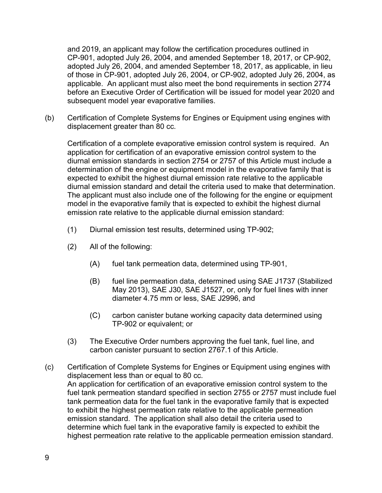and 2019, an applicant may follow the certification procedures outlined in CP-901, adopted July 26, 2004, and amended September 18, 2017, or CP-902, adopted July 26, 2004, and amended September 18, 2017, as applicable, in lieu of those in CP-901, adopted July 26, 2004, or CP-902, adopted July 26, 2004, as applicable. An applicant must also meet the bond requirements in section 2774 before an Executive Order of Certification will be issued for model year 2020 and subsequent model year evaporative families.

(b) Certification of Complete Systems for Engines or Equipment using engines with displacement greater than 80 cc.

Certification of a complete evaporative emission control system is required. An application for certification of an evaporative emission control system to the diurnal emission standards in section 2754 or 2757 of this Article must include a determination of the engine or equipment model in the evaporative family that is expected to exhibit the highest diurnal emission rate relative to the applicable diurnal emission standard and detail the criteria used to make that determination. The applicant must also include one of the following for the engine or equipment model in the evaporative family that is expected to exhibit the highest diurnal emission rate relative to the applicable diurnal emission standard:

- (1) Diurnal emission test results, determined using TP-902;
- (2) All of the following:
	- (A) fuel tank permeation data, determined using TP-901,
	- (B) fuel line permeation data, determined using SAE J1737 (Stabilized May 2013), SAE J30, SAE J1527, or, only for fuel lines with inner diameter 4.75 mm or less, SAE J2996, and
	- (C) carbon canister butane working capacity data determined using TP-902 or equivalent; or
- (3) The Executive Order numbers approving the fuel tank, fuel line, and carbon canister pursuant to section 2767.1 of this Article.
- (c) Certification of Complete Systems for Engines or Equipment using engines with displacement less than or equal to 80 cc. An application for certification of an evaporative emission control system to the fuel tank permeation standard specified in section 2755 or 2757 must include fuel tank permeation data for the fuel tank in the evaporative family that is expected to exhibit the highest permeation rate relative to the applicable permeation emission standard. The application shall also detail the criteria used to determine which fuel tank in the evaporative family is expected to exhibit the highest permeation rate relative to the applicable permeation emission standard.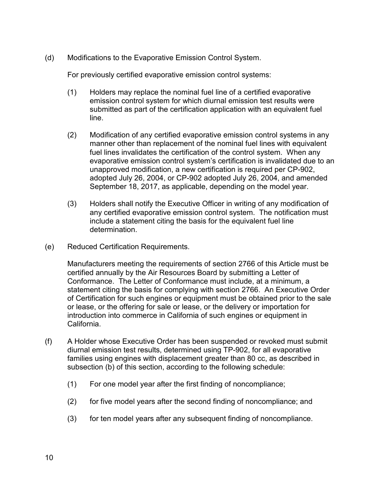(d) Modifications to the Evaporative Emission Control System.

For previously certified evaporative emission control systems:

- (1) Holders may replace the nominal fuel line of a certified evaporative emission control system for which diurnal emission test results were submitted as part of the certification application with an equivalent fuel line.
- (2) Modification of any certified evaporative emission control systems in any manner other than replacement of the nominal fuel lines with equivalent fuel lines invalidates the certification of the control system. When any evaporative emission control system's certification is invalidated due to an unapproved modification, a new certification is required per CP-902, adopted July 26, 2004, or CP-902 adopted July 26, 2004, and amended September 18, 2017, as applicable, depending on the model year.
- (3) Holders shall notify the Executive Officer in writing of any modification of any certified evaporative emission control system. The notification must include a statement citing the basis for the equivalent fuel line determination.
- (e) Reduced Certification Requirements.

Manufacturers meeting the requirements of section 2766 of this Article must be certified annually by the Air Resources Board by submitting a Letter of Conformance. The Letter of Conformance must include, at a minimum, a statement citing the basis for complying with section 2766. An Executive Order of Certification for such engines or equipment must be obtained prior to the sale or lease, or the offering for sale or lease, or the delivery or importation for introduction into commerce in California of such engines or equipment in California.

- (f) A Holder whose Executive Order has been suspended or revoked must submit diurnal emission test results, determined using TP-902, for all evaporative families using engines with displacement greater than 80 cc, as described in subsection (b) of this section, according to the following schedule:
	- (1) For one model year after the first finding of noncompliance;
	- (2) for five model years after the second finding of noncompliance; and
	- (3) for ten model years after any subsequent finding of noncompliance.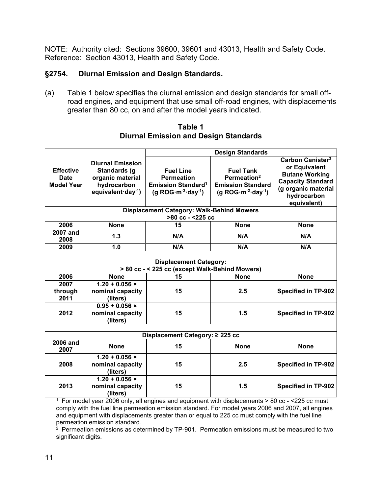### **§2754. Diurnal Emission and Design Standards.**

(a) Table 1 below specifies the diurnal emission and design standards for small offroad engines, and equipment that use small off-road engines, with displacements greater than 80 cc, on and after the model years indicated.

**Table 1 Diurnal Emission and Design Standards**

|                                                                                 |                                                                                                       | <b>Design Standards</b>                                                                               |                                                                                                 |                                                                                                                                                         |
|---------------------------------------------------------------------------------|-------------------------------------------------------------------------------------------------------|-------------------------------------------------------------------------------------------------------|-------------------------------------------------------------------------------------------------|---------------------------------------------------------------------------------------------------------------------------------------------------------|
| <b>Effective</b><br><b>Date</b><br><b>Model Year</b>                            | <b>Diurnal Emission</b><br>Standards (g<br>organic material<br>hydrocarbon<br>equivalent $day^{-1}$ ) | <b>Fuel Line</b><br><b>Permeation</b><br><b>Emission Standard<sup>1</sup></b><br>(g $ROG·m-2·day-1$ ) | <b>Fuel Tank</b><br>Permeation <sup>2</sup><br><b>Emission Standard</b><br>(g $ROG·m-2·day-1$ ) | Carbon Canister <sup>3</sup><br>or Equivalent<br><b>Butane Working</b><br><b>Capacity Standard</b><br>(g organic material<br>hydrocarbon<br>equivalent) |
|                                                                                 |                                                                                                       | <b>Displacement Category: Walk-Behind Mowers</b><br>>80 cc - <225 cc                                  |                                                                                                 |                                                                                                                                                         |
| 2006                                                                            | <b>None</b>                                                                                           | 15                                                                                                    | <b>None</b>                                                                                     | <b>None</b>                                                                                                                                             |
| <b>2007 and</b><br>2008                                                         | 1.3                                                                                                   | N/A                                                                                                   | N/A                                                                                             | N/A                                                                                                                                                     |
| 2009                                                                            | 1.0                                                                                                   | N/A                                                                                                   | N/A                                                                                             | N/A                                                                                                                                                     |
|                                                                                 |                                                                                                       |                                                                                                       |                                                                                                 |                                                                                                                                                         |
| <b>Displacement Category:</b><br>> 80 cc - < 225 cc (except Walk-Behind Mowers) |                                                                                                       |                                                                                                       |                                                                                                 |                                                                                                                                                         |
| 2006                                                                            | <b>None</b>                                                                                           | 15                                                                                                    | <b>None</b>                                                                                     | <b>None</b>                                                                                                                                             |
| 2007<br>through<br>2011                                                         | $1.20 + 0.056$ ×<br>nominal capacity<br>(liters)                                                      | 15                                                                                                    | 2.5                                                                                             | <b>Specified in TP-902</b>                                                                                                                              |
| 2012                                                                            | $0.95 + 0.056$ ×<br>nominal capacity<br>(liters)                                                      | 15                                                                                                    | 1.5                                                                                             | <b>Specified in TP-902</b>                                                                                                                              |
|                                                                                 |                                                                                                       |                                                                                                       |                                                                                                 |                                                                                                                                                         |
| Displacement Category: ≥ 225 cc                                                 |                                                                                                       |                                                                                                       |                                                                                                 |                                                                                                                                                         |
| <b>2006 and</b><br>2007                                                         | <b>None</b>                                                                                           | 15                                                                                                    | <b>None</b>                                                                                     | <b>None</b>                                                                                                                                             |
| 2008                                                                            | $1.20 + 0.056$ ×<br>nominal capacity<br>(liters)                                                      | 15                                                                                                    | 2.5                                                                                             | <b>Specified in TP-902</b>                                                                                                                              |
| 2013                                                                            | $1.20 + 0.056$ ×<br>nominal capacity<br>(liters)                                                      | 15                                                                                                    | 1.5                                                                                             | <b>Specified in TP-902</b>                                                                                                                              |

1 For model year 2006 only, all engines and equipment with displacements > 80 cc - <225 cc must comply with the fuel line permeation emission standard. For model years 2006 and 2007, all engines and equipment with displacements greater than or equal to 225 cc must comply with the fuel line<br>permeation emission standard.

 $2$  Permeation emissions as determined by TP-901. Permeation emissions must be measured to two significant digits.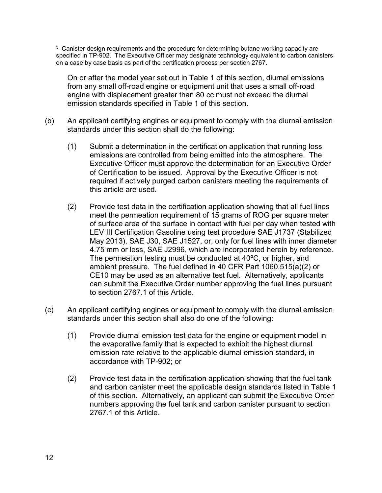$3$  Canister design requirements and the procedure for determining butane working capacity are specified in TP-902. The Executive Officer may designate technology equivalent to carbon canisters on a case by case basis as part of the certification process per section 2767.

On or after the model year set out in Table 1 of this section, diurnal emissions from any small off-road engine or equipment unit that uses a small off-road engine with displacement greater than 80 cc must not exceed the diurnal emission standards specified in Table 1 of this section.

- (b) An applicant certifying engines or equipment to comply with the diurnal emission standards under this section shall do the following:
	- (1) Submit a determination in the certification application that running loss emissions are controlled from being emitted into the atmosphere. The Executive Officer must approve the determination for an Executive Order of Certification to be issued. Approval by the Executive Officer is not required if actively purged carbon canisters meeting the requirements of this article are used.
	- (2) Provide test data in the certification application showing that all fuel lines meet the permeation requirement of 15 grams of ROG per square meter of surface area of the surface in contact with fuel per day when tested with LEV III Certification Gasoline using test procedure SAE J1737 (Stabilized May 2013), SAE J30, SAE J1527, or, only for fuel lines with inner diameter 4.75 mm or less, SAE J2996, which are incorporated herein by reference. The permeation testing must be conducted at 40ºC, or higher, and ambient pressure. The fuel defined in 40 CFR Part 1060.515(a)(2) or CE10 may be used as an alternative test fuel. Alternatively, applicants can submit the Executive Order number approving the fuel lines pursuant to section 2767.1 of this Article.
- (c) An applicant certifying engines or equipment to comply with the diurnal emission standards under this section shall also do one of the following:
	- (1) Provide diurnal emission test data for the engine or equipment model in the evaporative family that is expected to exhibit the highest diurnal emission rate relative to the applicable diurnal emission standard, in accordance with TP-902; or
	- (2) Provide test data in the certification application showing that the fuel tank and carbon canister meet the applicable design standards listed in Table 1 of this section. Alternatively, an applicant can submit the Executive Order numbers approving the fuel tank and carbon canister pursuant to section 2767.1 of this Article.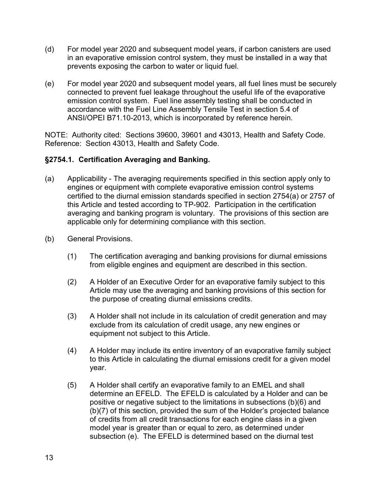- (d) For model year 2020 and subsequent model years, if carbon canisters are used in an evaporative emission control system, they must be installed in a way that prevents exposing the carbon to water or liquid fuel.
- (e) For model year 2020 and subsequent model years, all fuel lines must be securely connected to prevent fuel leakage throughout the useful life of the evaporative emission control system. Fuel line assembly testing shall be conducted in accordance with the Fuel Line Assembly Tensile Test in section 5.4 of ANSI/OPEI B71.10-2013, which is incorporated by reference herein.

### **§2754.1. Certification Averaging and Banking.**

- (a) Applicability The averaging requirements specified in this section apply only to engines or equipment with complete evaporative emission control systems certified to the diurnal emission standards specified in section 2754(a) or 2757 of this Article and tested according to TP-902. Participation in the certification averaging and banking program is voluntary. The provisions of this section are applicable only for determining compliance with this section.
- (b) General Provisions.
	- (1) The certification averaging and banking provisions for diurnal emissions from eligible engines and equipment are described in this section.
	- (2) A Holder of an Executive Order for an evaporative family subject to this Article may use the averaging and banking provisions of this section for the purpose of creating diurnal emissions credits.
	- (3) A Holder shall not include in its calculation of credit generation and may exclude from its calculation of credit usage, any new engines or equipment not subject to this Article.
	- (4) A Holder may include its entire inventory of an evaporative family subject to this Article in calculating the diurnal emissions credit for a given model year.
	- (5) A Holder shall certify an evaporative family to an EMEL and shall determine an EFELD. The EFELD is calculated by a Holder and can be positive or negative subject to the limitations in subsections (b)(6) and (b)(7) of this section, provided the sum of the Holder's projected balance of credits from all credit transactions for each engine class in a given model year is greater than or equal to zero, as determined under subsection (e). The EFELD is determined based on the diurnal test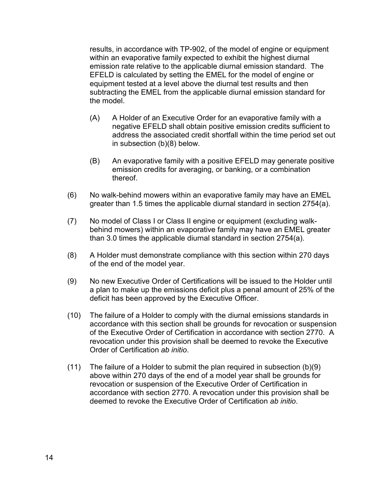results, in accordance with TP-902, of the model of engine or equipment within an evaporative family expected to exhibit the highest diurnal emission rate relative to the applicable diurnal emission standard. The EFELD is calculated by setting the EMEL for the model of engine or equipment tested at a level above the diurnal test results and then subtracting the EMEL from the applicable diurnal emission standard for the model.

- (A) A Holder of an Executive Order for an evaporative family with a negative EFELD shall obtain positive emission credits sufficient to address the associated credit shortfall within the time period set out in subsection (b)(8) below.
- (B) An evaporative family with a positive EFELD may generate positive emission credits for averaging, or banking, or a combination thereof.
- (6) No walk-behind mowers within an evaporative family may have an EMEL greater than 1.5 times the applicable diurnal standard in section 2754(a).
- (7) No model of Class I or Class II engine or equipment (excluding walkbehind mowers) within an evaporative family may have an EMEL greater than 3.0 times the applicable diurnal standard in section 2754(a).
- (8) A Holder must demonstrate compliance with this section within 270 days of the end of the model year.
- (9) No new Executive Order of Certifications will be issued to the Holder until a plan to make up the emissions deficit plus a penal amount of 25% of the deficit has been approved by the Executive Officer.
- (10) The failure of a Holder to comply with the diurnal emissions standards in accordance with this section shall be grounds for revocation or suspension of the Executive Order of Certification in accordance with section 2770. A revocation under this provision shall be deemed to revoke the Executive Order of Certification *ab initio*.
- (11) The failure of a Holder to submit the plan required in subsection (b)(9) above within 270 days of the end of a model year shall be grounds for revocation or suspension of the Executive Order of Certification in accordance with section 2770. A revocation under this provision shall be deemed to revoke the Executive Order of Certification *ab initio*.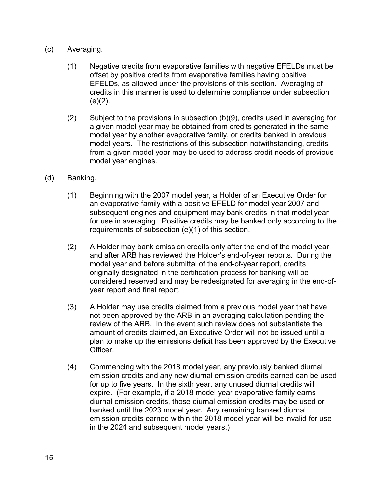- (c) Averaging.
	- (1) Negative credits from evaporative families with negative EFELDs must be offset by positive credits from evaporative families having positive EFELDs, as allowed under the provisions of this section. Averaging of credits in this manner is used to determine compliance under subsection  $(e)(2)$ .
	- (2) Subject to the provisions in subsection (b)(9), credits used in averaging for a given model year may be obtained from credits generated in the same model year by another evaporative family, or credits banked in previous model years. The restrictions of this subsection notwithstanding, credits from a given model year may be used to address credit needs of previous model year engines.
- (d) Banking.
	- (1) Beginning with the 2007 model year, a Holder of an Executive Order for an evaporative family with a positive EFELD for model year 2007 and subsequent engines and equipment may bank credits in that model year for use in averaging. Positive credits may be banked only according to the requirements of subsection (e)(1) of this section.
	- (2) A Holder may bank emission credits only after the end of the model year and after ARB has reviewed the Holder's end-of-year reports. During the model year and before submittal of the end-of-year report, credits originally designated in the certification process for banking will be considered reserved and may be redesignated for averaging in the end-ofyear report and final report.
	- (3) A Holder may use credits claimed from a previous model year that have not been approved by the ARB in an averaging calculation pending the review of the ARB. In the event such review does not substantiate the amount of credits claimed, an Executive Order will not be issued until a plan to make up the emissions deficit has been approved by the Executive Officer.
	- (4) Commencing with the 2018 model year, any previously banked diurnal emission credits and any new diurnal emission credits earned can be used for up to five years. In the sixth year, any unused diurnal credits will expire. (For example, if a 2018 model year evaporative family earns diurnal emission credits, those diurnal emission credits may be used or banked until the 2023 model year. Any remaining banked diurnal emission credits earned within the 2018 model year will be invalid for use in the 2024 and subsequent model years.)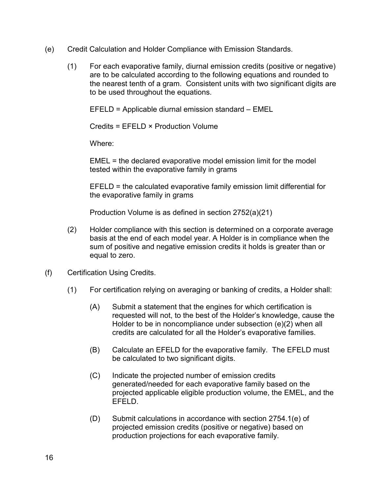- (e) Credit Calculation and Holder Compliance with Emission Standards.
	- (1) For each evaporative family, diurnal emission credits (positive or negative) are to be calculated according to the following equations and rounded to the nearest tenth of a gram. Consistent units with two significant digits are to be used throughout the equations.

EFELD = Applicable diurnal emission standard – EMEL

Credits = EFELD × Production Volume

Where:

EMEL = the declared evaporative model emission limit for the model tested within the evaporative family in grams

EFELD = the calculated evaporative family emission limit differential for the evaporative family in grams

Production Volume is as defined in section 2752(a)(21)

- (2) Holder compliance with this section is determined on a corporate average basis at the end of each model year. A Holder is in compliance when the sum of positive and negative emission credits it holds is greater than or equal to zero.
- (f) Certification Using Credits.
	- (1) For certification relying on averaging or banking of credits, a Holder shall:
		- (A) Submit a statement that the engines for which certification is requested will not, to the best of the Holder's knowledge, cause the Holder to be in noncompliance under subsection (e)(2) when all credits are calculated for all the Holder's evaporative families.
		- (B) Calculate an EFELD for the evaporative family. The EFELD must be calculated to two significant digits.
		- (C) Indicate the projected number of emission credits generated/needed for each evaporative family based on the projected applicable eligible production volume, the EMEL, and the EFELD.
		- (D) Submit calculations in accordance with section 2754.1(e) of projected emission credits (positive or negative) based on production projections for each evaporative family.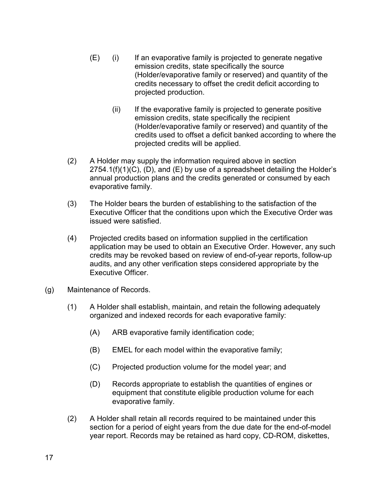- (E) (i) If an evaporative family is projected to generate negative emission credits, state specifically the source (Holder/evaporative family or reserved) and quantity of the credits necessary to offset the credit deficit according to projected production.
	- (ii) If the evaporative family is projected to generate positive emission credits, state specifically the recipient (Holder/evaporative family or reserved) and quantity of the credits used to offset a deficit banked according to where the projected credits will be applied.
- (2) A Holder may supply the information required above in section  $2754.1(f)(1)(C)$ , (D), and (E) by use of a spreadsheet detailing the Holder's annual production plans and the credits generated or consumed by each evaporative family.
- (3) The Holder bears the burden of establishing to the satisfaction of the Executive Officer that the conditions upon which the Executive Order was issued were satisfied.
- (4) Projected credits based on information supplied in the certification application may be used to obtain an Executive Order. However, any such credits may be revoked based on review of end-of-year reports, follow-up audits, and any other verification steps considered appropriate by the Executive Officer.
- (g) Maintenance of Records.
	- (1) A Holder shall establish, maintain, and retain the following adequately organized and indexed records for each evaporative family:
		- (A) ARB evaporative family identification code;
		- (B) EMEL for each model within the evaporative family;
		- (C) Projected production volume for the model year; and
		- (D) Records appropriate to establish the quantities of engines or equipment that constitute eligible production volume for each evaporative family.
	- (2) A Holder shall retain all records required to be maintained under this section for a period of eight years from the due date for the end-of-model year report. Records may be retained as hard copy, CD-ROM, diskettes,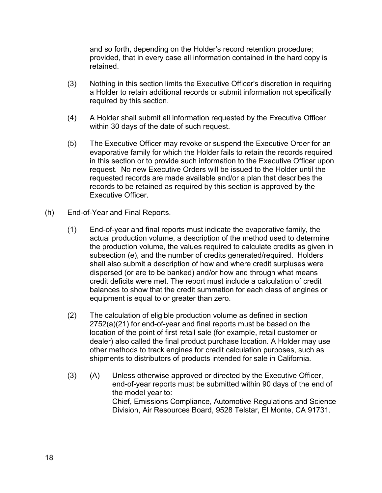and so forth, depending on the Holder's record retention procedure; provided, that in every case all information contained in the hard copy is retained.

- (3) Nothing in this section limits the Executive Officer's discretion in requiring a Holder to retain additional records or submit information not specifically required by this section.
- (4) A Holder shall submit all information requested by the Executive Officer within 30 days of the date of such request.
- (5) The Executive Officer may revoke or suspend the Executive Order for an evaporative family for which the Holder fails to retain the records required in this section or to provide such information to the Executive Officer upon request. No new Executive Orders will be issued to the Holder until the requested records are made available and/or a plan that describes the records to be retained as required by this section is approved by the Executive Officer.
- (h) End-of-Year and Final Reports.
	- (1) End-of-year and final reports must indicate the evaporative family, the actual production volume, a description of the method used to determine the production volume, the values required to calculate credits as given in subsection (e), and the number of credits generated/required. Holders shall also submit a description of how and where credit surpluses were dispersed (or are to be banked) and/or how and through what means credit deficits were met. The report must include a calculation of credit balances to show that the credit summation for each class of engines or equipment is equal to or greater than zero.
	- (2) The calculation of eligible production volume as defined in section 2752(a)(21) for end-of-year and final reports must be based on the location of the point of first retail sale (for example, retail customer or dealer) also called the final product purchase location. A Holder may use other methods to track engines for credit calculation purposes, such as shipments to distributors of products intended for sale in California.
	- (3) (A) Unless otherwise approved or directed by the Executive Officer, end-of-year reports must be submitted within 90 days of the end of the model year to: Chief, Emissions Compliance, Automotive Regulations and Science Division, Air Resources Board, 9528 Telstar, El Monte, CA 91731.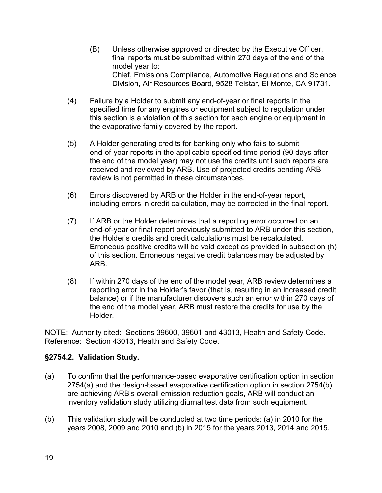- (B) Unless otherwise approved or directed by the Executive Officer, final reports must be submitted within 270 days of the end of the model year to: Chief, Emissions Compliance, Automotive Regulations and Science Division, Air Resources Board, 9528 Telstar, El Monte, CA 91731.
- (4) Failure by a Holder to submit any end-of-year or final reports in the specified time for any engines or equipment subject to regulation under this section is a violation of this section for each engine or equipment in the evaporative family covered by the report.
- (5) A Holder generating credits for banking only who fails to submit end-of-year reports in the applicable specified time period (90 days after the end of the model year) may not use the credits until such reports are received and reviewed by ARB. Use of projected credits pending ARB review is not permitted in these circumstances.
- (6) Errors discovered by ARB or the Holder in the end-of-year report, including errors in credit calculation, may be corrected in the final report.
- (7) If ARB or the Holder determines that a reporting error occurred on an end-of-year or final report previously submitted to ARB under this section, the Holder's credits and credit calculations must be recalculated. Erroneous positive credits will be void except as provided in subsection (h) of this section. Erroneous negative credit balances may be adjusted by ARB.
- (8) If within 270 days of the end of the model year, ARB review determines a reporting error in the Holder's favor (that is, resulting in an increased credit balance) or if the manufacturer discovers such an error within 270 days of the end of the model year, ARB must restore the credits for use by the Holder.

# **§2754.2. Validation Study.**

- (a) To confirm that the performance-based evaporative certification option in section 2754(a) and the design-based evaporative certification option in section 2754(b) are achieving ARB's overall emission reduction goals, ARB will conduct an inventory validation study utilizing diurnal test data from such equipment.
- (b) This validation study will be conducted at two time periods: (a) in 2010 for the years 2008, 2009 and 2010 and (b) in 2015 for the years 2013, 2014 and 2015.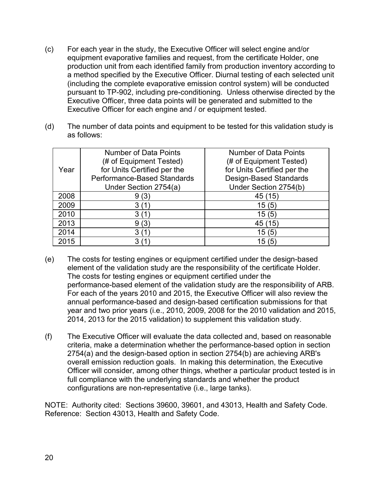- (c) For each year in the study, the Executive Officer will select engine and/or equipment evaporative families and request, from the certificate Holder, one production unit from each identified family from production inventory according to a method specified by the Executive Officer. Diurnal testing of each selected unit (including the complete evaporative emission control system) will be conducted pursuant to TP-902, including pre-conditioning. Unless otherwise directed by the Executive Officer, three data points will be generated and submitted to the Executive Officer for each engine and / or equipment tested.
- (d) The number of data points and equipment to be tested for this validation study is as follows:

|      | <b>Number of Data Points</b> | <b>Number of Data Points</b>  |
|------|------------------------------|-------------------------------|
|      | (# of Equipment Tested)      | (# of Equipment Tested)       |
| Year | for Units Certified per the  | for Units Certified per the   |
|      | Performance-Based Standards  | <b>Design-Based Standards</b> |
|      | Under Section 2754(a)        | Under Section 2754(b)         |
| 2008 | (3)<br>9                     | 45(15)                        |
| 2009 |                              | 15(5)                         |
| 2010 |                              | 15 (5                         |
| 2013 | (3)<br>9                     | 45(15)                        |
| 2014 |                              | 15(5)                         |
| 2015 |                              | 15                            |

- (e) The costs for testing engines or equipment certified under the design-based element of the validation study are the responsibility of the certificate Holder. The costs for testing engines or equipment certified under the performance-based element of the validation study are the responsibility of ARB. For each of the years 2010 and 2015, the Executive Officer will also review the annual performance-based and design-based certification submissions for that year and two prior years (i.e., 2010, 2009, 2008 for the 2010 validation and 2015, 2014, 2013 for the 2015 validation) to supplement this validation study.
- (f) The Executive Officer will evaluate the data collected and, based on reasonable criteria, make a determination whether the performance-based option in section 2754(a) and the design-based option in section 2754(b) are achieving ARB's overall emission reduction goals. In making this determination, the Executive Officer will consider, among other things, whether a particular product tested is in full compliance with the underlying standards and whether the product configurations are non-representative (i.e., large tanks).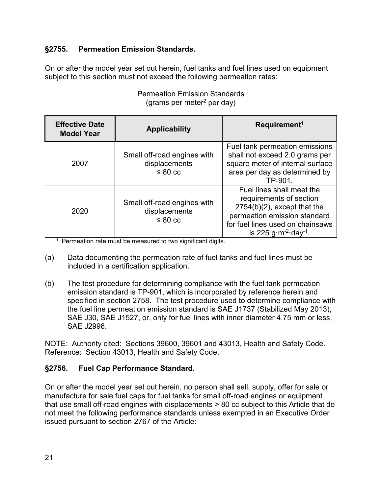# **§2755. Permeation Emission Standards.**

On or after the model year set out herein, fuel tanks and fuel lines used on equipment subject to this section must not exceed the following permeation rates:

| <b>Effective Date</b><br><b>Model Year</b> | <b>Applicability</b>                                         | Requirement <sup>1</sup>                                                                                                                                                                               |
|--------------------------------------------|--------------------------------------------------------------|--------------------------------------------------------------------------------------------------------------------------------------------------------------------------------------------------------|
| 2007                                       | Small off-road engines with<br>displacements<br>$\leq 80$ cc | Fuel tank permeation emissions<br>shall not exceed 2.0 grams per<br>square meter of internal surface<br>area per day as determined by<br>TP-901.                                                       |
| 2020                                       | Small off-road engines with<br>displacements<br>$\leq 80$ cc | Fuel lines shall meet the<br>requirements of section<br>$2754(b)(2)$ , except that the<br>permeation emission standard<br>for fuel lines used on chainsaws<br>is 225 g $\rm m^{-2}$ day <sup>1</sup> . |

Permeation Emission Standards (grams per meter<sup>2</sup> per day)

<sup>1</sup> Permeation rate must be measured to two significant digits.

- (a) Data documenting the permeation rate of fuel tanks and fuel lines must be included in a certification application.
- (b) The test procedure for determining compliance with the fuel tank permeation emission standard is TP-901, which is incorporated by reference herein and specified in section 2758. The test procedure used to determine compliance with the fuel line permeation emission standard is SAE J1737 (Stabilized May 2013), SAE J30, SAE J1527, or, only for fuel lines with inner diameter 4.75 mm or less, SAE J2996.

NOTE: Authority cited: Sections 39600, 39601 and 43013, Health and Safety Code. Reference: Section 43013, Health and Safety Code.

# **§2756. Fuel Cap Performance Standard.**

On or after the model year set out herein, no person shall sell, supply, offer for sale or manufacture for sale fuel caps for fuel tanks for small off-road engines or equipment that use small off-road engines with displacements > 80 cc subject to this Article that do not meet the following performance standards unless exempted in an Executive Order issued pursuant to section 2767 of the Article: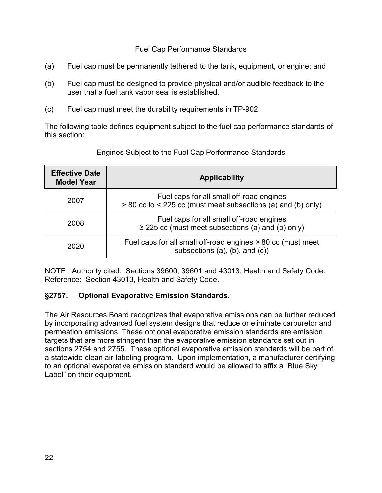Fuel Cap Performance Standards

- (a) Fuel cap must be permanently tethered to the tank, equipment, or engine; and
- (b) Fuel cap must be designed to provide physical and/or audible feedback to the user that a fuel tank vapor seal is established.
- (c) Fuel cap must meet the durability requirements in TP-902.

The following table defines equipment subject to the fuel cap performance standards of this section:

| <b>Effective Date</b><br><b>Model Year</b> | <b>Applicability</b>                                                                                     |  |
|--------------------------------------------|----------------------------------------------------------------------------------------------------------|--|
| 2007                                       | Fuel caps for all small off-road engines<br>> 80 cc to < 225 cc (must meet subsections (a) and (b) only) |  |
| 2008                                       | Fuel caps for all small off-road engines<br>$\geq$ 225 cc (must meet subsections (a) and (b) only)       |  |
| 2020                                       | Fuel caps for all small off-road engines > 80 cc (must meet<br>subsections $(a)$ , $(b)$ , and $(c)$ )   |  |

Engines Subject to the Fuel Cap Performance Standards

NOTE: Authority cited: Sections 39600, 39601 and 43013, Health and Safety Code. Reference: Section 43013, Health and Safety Code.

# **§2757. Optional Evaporative Emission Standards.**

The Air Resources Board recognizes that evaporative emissions can be further reduced by incorporating advanced fuel system designs that reduce or eliminate carburetor and permeation emissions. These optional evaporative emission standards are emission targets that are more stringent than the evaporative emission standards set out in sections 2754 and 2755. These optional evaporative emission standards will be part of a statewide clean air-labeling program. Upon implementation, a manufacturer certifying to an optional evaporative emission standard would be allowed to affix a "Blue Sky Label" on their equipment.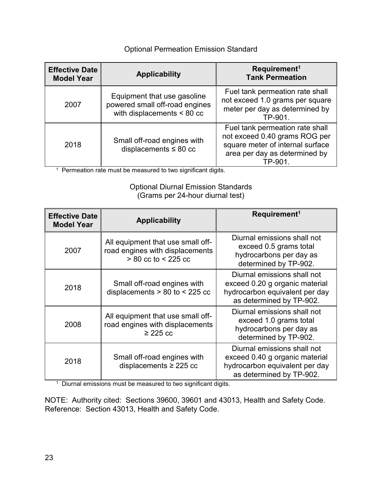# Optional Permeation Emission Standard

| <b>Effective Date</b><br><b>Model Year</b> | <b>Applicability</b>                                                                          | Requirement <sup>1</sup><br><b>Tank Permeation</b>                                                                                               |
|--------------------------------------------|-----------------------------------------------------------------------------------------------|--------------------------------------------------------------------------------------------------------------------------------------------------|
| 2007                                       | Equipment that use gasoline<br>powered small off-road engines<br>with displacements $< 80$ cc | Fuel tank permeation rate shall<br>not exceed 1.0 grams per square<br>meter per day as determined by<br>TP-901.                                  |
| 2018                                       | Small off-road engines with<br>displacements $\leq 80$ cc                                     | Fuel tank permeation rate shall<br>not exceed 0.40 grams ROG per<br>square meter of internal surface<br>area per day as determined by<br>TP-901. |

<sup>1</sup> Permeation rate must be measured to two significant digits.

### Optional Diurnal Emission Standards (Grams per 24-hour diurnal test)

| <b>Effective Date</b><br><b>Model Year</b> | <b>Applicability</b>                                                                            | Requirement <sup>1</sup>                                                                                                    |
|--------------------------------------------|-------------------------------------------------------------------------------------------------|-----------------------------------------------------------------------------------------------------------------------------|
| 2007                                       | All equipment that use small off-<br>road engines with displacements<br>$> 80$ cc to $< 225$ cc | Diurnal emissions shall not<br>exceed 0.5 grams total<br>hydrocarbons per day as<br>determined by TP-902.                   |
| 2018                                       | Small off-road engines with<br>displacements $> 80$ to $< 225$ cc                               | Diurnal emissions shall not<br>exceed 0.20 g organic material<br>hydrocarbon equivalent per day<br>as determined by TP-902. |
| 2008                                       | All equipment that use small off-<br>road engines with displacements<br>$\geq$ 225 cc           | Diurnal emissions shall not<br>exceed 1.0 grams total<br>hydrocarbons per day as<br>determined by TP-902.                   |
| 2018                                       | Small off-road engines with<br>displacements $\geq$ 225 cc                                      | Diurnal emissions shall not<br>exceed 0.40 g organic material<br>hydrocarbon equivalent per day<br>as determined by TP-902. |

<sup>1</sup> Diurnal emissions must be measured to two significant digits.

NOTE: Authority cited: Sections 39600, 39601 and 43013, Health and Safety Code. Reference: Section 43013, Health and Safety Code.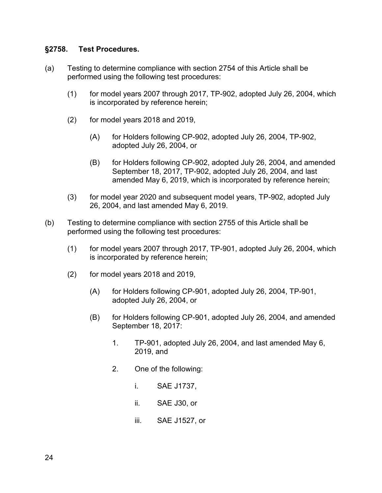#### **§2758. Test Procedures.**

- (a) Testing to determine compliance with section 2754 of this Article shall be performed using the following test procedures:
	- (1) for model years 2007 through 2017, TP-902, adopted July 26, 2004, which is incorporated by reference herein;
	- (2) for model years 2018 and 2019,
		- (A) for Holders following CP-902, adopted July 26, 2004, TP-902, adopted July 26, 2004, or
		- (B) for Holders following CP-902, adopted July 26, 2004, and amended September 18, 2017, TP-902, adopted July 26, 2004, and last amended May 6, 2019, which is incorporated by reference herein;
	- (3) for model year 2020 and subsequent model years, TP-902, adopted July 26, 2004, and last amended May 6, 2019.
- (b) Testing to determine compliance with section 2755 of this Article shall be performed using the following test procedures:
	- (1) for model years 2007 through 2017, TP-901, adopted July 26, 2004, which is incorporated by reference herein;
	- (2) for model years 2018 and 2019,
		- (A) for Holders following CP-901, adopted July 26, 2004, TP-901, adopted July 26, 2004, or
		- (B) for Holders following CP-901, adopted July 26, 2004, and amended September 18, 2017:
			- 1. TP-901, adopted July 26, 2004, and last amended May 6, 2019, and
			- 2. One of the following:
				- i. SAE J1737,
				- ii. SAE J30, or
				- iii. SAE J1527, or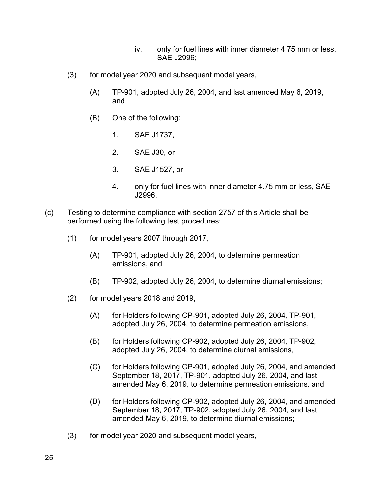- iv. only for fuel lines with inner diameter 4.75 mm or less, SAE J2996;
- (3) for model year 2020 and subsequent model years,
	- (A) TP-901, adopted July 26, 2004, and last amended May 6, 2019, and
	- (B) One of the following:
		- 1. SAE J1737,
		- 2. SAE J30, or
		- 3. SAE J1527, or
		- 4. only for fuel lines with inner diameter 4.75 mm or less, SAE J2996.
- (c) Testing to determine compliance with section 2757 of this Article shall be performed using the following test procedures:
	- (1) for model years 2007 through 2017,
		- (A) TP-901, adopted July 26, 2004, to determine permeation emissions, and
		- (B) TP-902, adopted July 26, 2004, to determine diurnal emissions;
	- (2) for model years 2018 and 2019,
		- (A) for Holders following CP-901, adopted July 26, 2004, TP-901, adopted July 26, 2004, to determine permeation emissions,
		- (B) for Holders following CP-902, adopted July 26, 2004, TP-902, adopted July 26, 2004, to determine diurnal emissions,
		- (C) for Holders following CP-901, adopted July 26, 2004, and amended September 18, 2017, TP-901, adopted July 26, 2004, and last amended May 6, 2019, to determine permeation emissions, and
		- (D) for Holders following CP-902, adopted July 26, 2004, and amended September 18, 2017, TP-902, adopted July 26, 2004, and last amended May 6, 2019, to determine diurnal emissions;
	- (3) for model year 2020 and subsequent model years,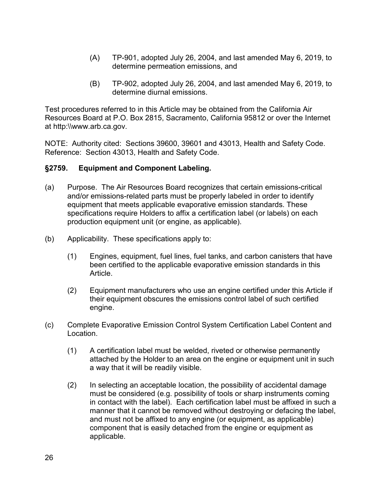- (A) TP-901, adopted July 26, 2004, and last amended May 6, 2019, to determine permeation emissions, and
- (B) TP-902, adopted July 26, 2004, and last amended May 6, 2019, to determine diurnal emissions.

Test procedures referred to in this Article may be obtained from the California Air Resources Board at P.O. Box 2815, Sacramento, California 95812 or over the Internet at http:\\www.arb.ca.gov.

NOTE: Authority cited: Sections 39600, 39601 and 43013, Health and Safety Code. Reference: Section 43013, Health and Safety Code.

### **§2759. Equipment and Component Labeling.**

- (a) Purpose. The Air Resources Board recognizes that certain emissions-critical and/or emissions-related parts must be properly labeled in order to identify equipment that meets applicable evaporative emission standards. These specifications require Holders to affix a certification label (or labels) on each production equipment unit (or engine, as applicable).
- (b) Applicability. These specifications apply to:
	- (1) Engines, equipment, fuel lines, fuel tanks, and carbon canisters that have been certified to the applicable evaporative emission standards in this Article.
	- (2) Equipment manufacturers who use an engine certified under this Article if their equipment obscures the emissions control label of such certified engine.
- (c) Complete Evaporative Emission Control System Certification Label Content and Location.
	- (1) A certification label must be welded, riveted or otherwise permanently attached by the Holder to an area on the engine or equipment unit in such a way that it will be readily visible.
	- (2) In selecting an acceptable location, the possibility of accidental damage must be considered (e.g. possibility of tools or sharp instruments coming in contact with the label). Each certification label must be affixed in such a manner that it cannot be removed without destroying or defacing the label, and must not be affixed to any engine (or equipment, as applicable) component that is easily detached from the engine or equipment as applicable.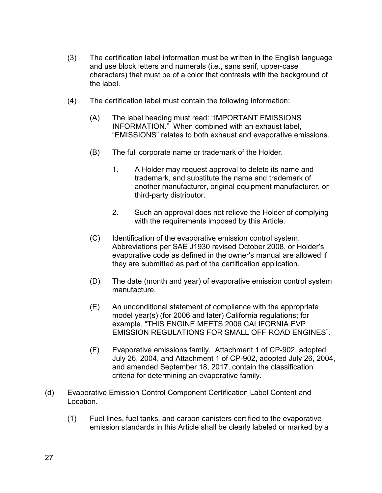- (3) The certification label information must be written in the English language and use block letters and numerals (i.e., sans serif, upper-case characters) that must be of a color that contrasts with the background of the label.
- (4) The certification label must contain the following information:
	- (A) The label heading must read: "IMPORTANT EMISSIONS INFORMATION." When combined with an exhaust label, "EMISSIONS" relates to both exhaust and evaporative emissions.
	- (B) The full corporate name or trademark of the Holder.
		- 1. A Holder may request approval to delete its name and trademark, and substitute the name and trademark of another manufacturer, original equipment manufacturer, or third-party distributor.
		- 2. Such an approval does not relieve the Holder of complying with the requirements imposed by this Article.
	- (C) Identification of the evaporative emission control system. Abbreviations per SAE J1930 revised October 2008, or Holder's evaporative code as defined in the owner's manual are allowed if they are submitted as part of the certification application.
	- (D) The date (month and year) of evaporative emission control system manufacture.
	- (E) An unconditional statement of compliance with the appropriate model year(s) (for 2006 and later) California regulations; for example, "THIS ENGINE MEETS 2006 CALIFORNIA EVP EMISSION REGULATIONS FOR SMALL OFF-ROAD ENGINES".
	- (F) Evaporative emissions family. Attachment 1 of CP-902, adopted July 26, 2004, and Attachment 1 of CP-902, adopted July 26, 2004, and amended September 18, 2017, contain the classification criteria for determining an evaporative family.
- (d) Evaporative Emission Control Component Certification Label Content and Location.
	- (1) Fuel lines, fuel tanks, and carbon canisters certified to the evaporative emission standards in this Article shall be clearly labeled or marked by a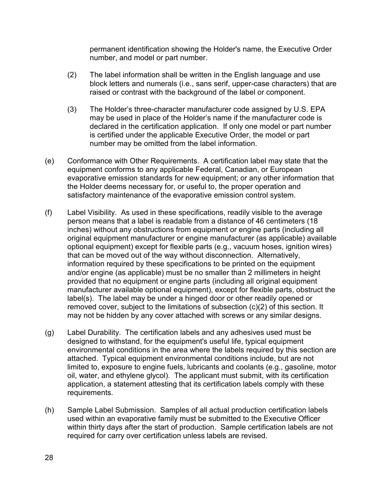permanent identification showing the Holder's name, the Executive Order number, and model or part number.

- (2) The label information shall be written in the English language and use block letters and numerals (i.e., sans serif, upper-case characters) that are raised or contrast with the background of the label or component.
- (3) The Holder's three-character manufacturer code assigned by U.S. EPA may be used in place of the Holder's name if the manufacturer code is declared in the certification application. If only one model or part number is certified under the applicable Executive Order, the model or part number may be omitted from the label information.
- (e) Conformance with Other Requirements. A certification label may state that the equipment conforms to any applicable Federal, Canadian, or European evaporative emission standards for new equipment; or any other information that the Holder deems necessary for, or useful to, the proper operation and satisfactory maintenance of the evaporative emission control system.
- (f) Label Visibility. As used in these specifications, readily visible to the average person means that a label is readable from a distance of 46 centimeters (18 inches) without any obstructions from equipment or engine parts (including all original equipment manufacturer or engine manufacturer (as applicable) available optional equipment) except for flexible parts (e.g., vacuum hoses, ignition wires) that can be moved out of the way without disconnection. Alternatively, information required by these specifications to be printed on the equipment and/or engine (as applicable) must be no smaller than 2 millimeters in height provided that no equipment or engine parts (including all original equipment manufacturer available optional equipment), except for flexible parts, obstruct the label(s). The label may be under a hinged door or other readily opened or removed cover, subject to the limitations of subsection (c)(2) of this section. It may not be hidden by any cover attached with screws or any similar designs.
- (g) Label Durability. The certification labels and any adhesives used must be designed to withstand, for the equipment's useful life, typical equipment environmental conditions in the area where the labels required by this section are attached. Typical equipment environmental conditions include, but are not limited to, exposure to engine fuels, lubricants and coolants (e.g., gasoline, motor oil, water, and ethylene glycol). The applicant must submit, with its certification application, a statement attesting that its certification labels comply with these requirements.
- (h) Sample Label Submission. Samples of all actual production certification labels used within an evaporative family must be submitted to the Executive Officer within thirty days after the start of production. Sample certification labels are not required for carry over certification unless labels are revised.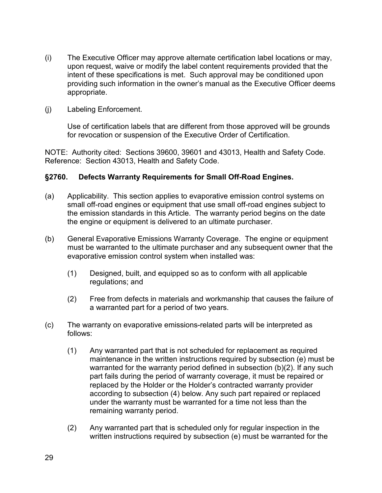- (i) The Executive Officer may approve alternate certification label locations or may, upon request, waive or modify the label content requirements provided that the intent of these specifications is met. Such approval may be conditioned upon providing such information in the owner's manual as the Executive Officer deems appropriate.
- (j) Labeling Enforcement.

Use of certification labels that are different from those approved will be grounds for revocation or suspension of the Executive Order of Certification.

NOTE: Authority cited: Sections 39600, 39601 and 43013, Health and Safety Code. Reference: Section 43013, Health and Safety Code.

#### **§2760. Defects Warranty Requirements for Small Off-Road Engines.**

- (a) Applicability. This section applies to evaporative emission control systems on small off-road engines or equipment that use small off-road engines subject to the emission standards in this Article. The warranty period begins on the date the engine or equipment is delivered to an ultimate purchaser.
- (b) General Evaporative Emissions Warranty Coverage. The engine or equipment must be warranted to the ultimate purchaser and any subsequent owner that the evaporative emission control system when installed was:
	- (1) Designed, built, and equipped so as to conform with all applicable regulations; and
	- (2) Free from defects in materials and workmanship that causes the failure of a warranted part for a period of two years.
- (c) The warranty on evaporative emissions-related parts will be interpreted as follows:
	- (1) Any warranted part that is not scheduled for replacement as required maintenance in the written instructions required by subsection (e) must be warranted for the warranty period defined in subsection (b)(2). If any such part fails during the period of warranty coverage, it must be repaired or replaced by the Holder or the Holder's contracted warranty provider according to subsection (4) below. Any such part repaired or replaced under the warranty must be warranted for a time not less than the remaining warranty period.
	- (2) Any warranted part that is scheduled only for regular inspection in the written instructions required by subsection (e) must be warranted for the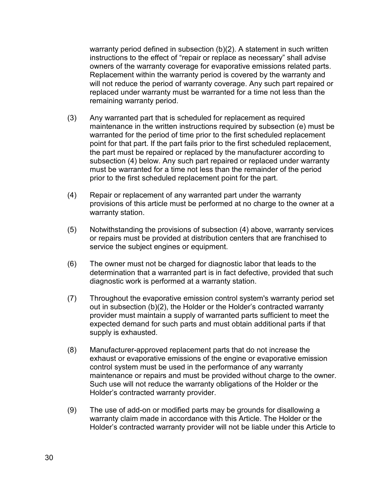warranty period defined in subsection  $(b)(2)$ . A statement in such written instructions to the effect of "repair or replace as necessary" shall advise owners of the warranty coverage for evaporative emissions related parts. Replacement within the warranty period is covered by the warranty and will not reduce the period of warranty coverage. Any such part repaired or replaced under warranty must be warranted for a time not less than the remaining warranty period.

- (3) Any warranted part that is scheduled for replacement as required maintenance in the written instructions required by subsection (e) must be warranted for the period of time prior to the first scheduled replacement point for that part. If the part fails prior to the first scheduled replacement, the part must be repaired or replaced by the manufacturer according to subsection (4) below. Any such part repaired or replaced under warranty must be warranted for a time not less than the remainder of the period prior to the first scheduled replacement point for the part.
- (4) Repair or replacement of any warranted part under the warranty provisions of this article must be performed at no charge to the owner at a warranty station.
- (5) Notwithstanding the provisions of subsection (4) above, warranty services or repairs must be provided at distribution centers that are franchised to service the subject engines or equipment.
- (6) The owner must not be charged for diagnostic labor that leads to the determination that a warranted part is in fact defective, provided that such diagnostic work is performed at a warranty station.
- (7) Throughout the evaporative emission control system's warranty period set out in subsection (b)(2), the Holder or the Holder's contracted warranty provider must maintain a supply of warranted parts sufficient to meet the expected demand for such parts and must obtain additional parts if that supply is exhausted.
- (8) Manufacturer-approved replacement parts that do not increase the exhaust or evaporative emissions of the engine or evaporative emission control system must be used in the performance of any warranty maintenance or repairs and must be provided without charge to the owner. Such use will not reduce the warranty obligations of the Holder or the Holder's contracted warranty provider.
- (9) The use of add-on or modified parts may be grounds for disallowing a warranty claim made in accordance with this Article. The Holder or the Holder's contracted warranty provider will not be liable under this Article to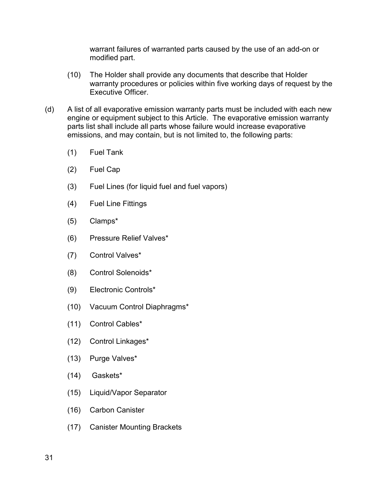warrant failures of warranted parts caused by the use of an add-on or modified part.

- (10) The Holder shall provide any documents that describe that Holder warranty procedures or policies within five working days of request by the Executive Officer.
- (d) A list of all evaporative emission warranty parts must be included with each new engine or equipment subject to this Article. The evaporative emission warranty parts list shall include all parts whose failure would increase evaporative emissions, and may contain, but is not limited to, the following parts:
	- (1) Fuel Tank
	- (2) Fuel Cap
	- (3) Fuel Lines (for liquid fuel and fuel vapors)
	- (4) Fuel Line Fittings
	- (5) Clamps\*
	- (6) Pressure Relief Valves\*
	- (7) Control Valves\*
	- (8) Control Solenoids\*
	- (9) Electronic Controls\*
	- (10) Vacuum Control Diaphragms\*
	- (11) Control Cables\*
	- (12) Control Linkages\*
	- (13) Purge Valves\*
	- (14) Gaskets\*
	- (15) Liquid/Vapor Separator
	- (16) Carbon Canister
	- (17) Canister Mounting Brackets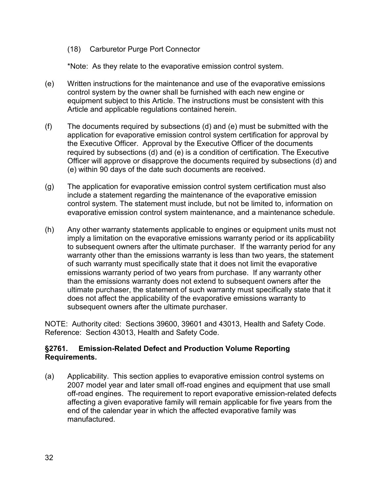(18) Carburetor Purge Port Connector

\*Note: As they relate to the evaporative emission control system.

- (e) Written instructions for the maintenance and use of the evaporative emissions control system by the owner shall be furnished with each new engine or equipment subject to this Article. The instructions must be consistent with this Article and applicable regulations contained herein.
- (f) The documents required by subsections (d) and (e) must be submitted with the application for evaporative emission control system certification for approval by the Executive Officer. Approval by the Executive Officer of the documents required by subsections (d) and (e) is a condition of certification. The Executive Officer will approve or disapprove the documents required by subsections (d) and (e) within 90 days of the date such documents are received.
- (g) The application for evaporative emission control system certification must also include a statement regarding the maintenance of the evaporative emission control system. The statement must include, but not be limited to, information on evaporative emission control system maintenance, and a maintenance schedule.
- (h) Any other warranty statements applicable to engines or equipment units must not imply a limitation on the evaporative emissions warranty period or its applicability to subsequent owners after the ultimate purchaser. If the warranty period for any warranty other than the emissions warranty is less than two years, the statement of such warranty must specifically state that it does not limit the evaporative emissions warranty period of two years from purchase. If any warranty other than the emissions warranty does not extend to subsequent owners after the ultimate purchaser, the statement of such warranty must specifically state that it does not affect the applicability of the evaporative emissions warranty to subsequent owners after the ultimate purchaser.

NOTE: Authority cited: Sections 39600, 39601 and 43013, Health and Safety Code. Reference: Section 43013, Health and Safety Code.

# **§2761. Emission-Related Defect and Production Volume Reporting Requirements.**

(a) Applicability. This section applies to evaporative emission control systems on 2007 model year and later small off-road engines and equipment that use small off-road engines. The requirement to report evaporative emission-related defects affecting a given evaporative family will remain applicable for five years from the end of the calendar year in which the affected evaporative family was manufactured.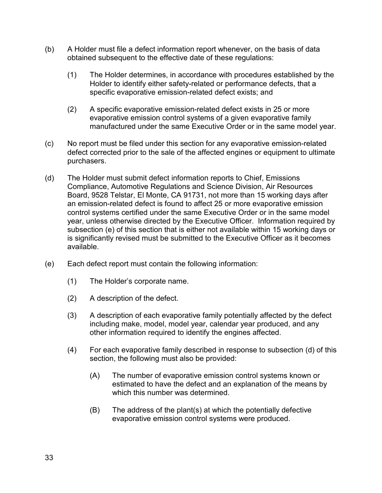- (b) A Holder must file a defect information report whenever, on the basis of data obtained subsequent to the effective date of these regulations:
	- (1) The Holder determines, in accordance with procedures established by the Holder to identify either safety-related or performance defects, that a specific evaporative emission-related defect exists; and
	- (2) A specific evaporative emission-related defect exists in 25 or more evaporative emission control systems of a given evaporative family manufactured under the same Executive Order or in the same model year.
- (c) No report must be filed under this section for any evaporative emission-related defect corrected prior to the sale of the affected engines or equipment to ultimate purchasers.
- (d) The Holder must submit defect information reports to Chief, Emissions Compliance, Automotive Regulations and Science Division, Air Resources Board, 9528 Telstar, El Monte, CA 91731, not more than 15 working days after an emission-related defect is found to affect 25 or more evaporative emission control systems certified under the same Executive Order or in the same model year, unless otherwise directed by the Executive Officer. Information required by subsection (e) of this section that is either not available within 15 working days or is significantly revised must be submitted to the Executive Officer as it becomes available.
- (e) Each defect report must contain the following information:
	- (1) The Holder's corporate name.
	- (2) A description of the defect.
	- (3) A description of each evaporative family potentially affected by the defect including make, model, model year, calendar year produced, and any other information required to identify the engines affected.
	- (4) For each evaporative family described in response to subsection (d) of this section, the following must also be provided:
		- (A) The number of evaporative emission control systems known or estimated to have the defect and an explanation of the means by which this number was determined.
		- (B) The address of the plant(s) at which the potentially defective evaporative emission control systems were produced.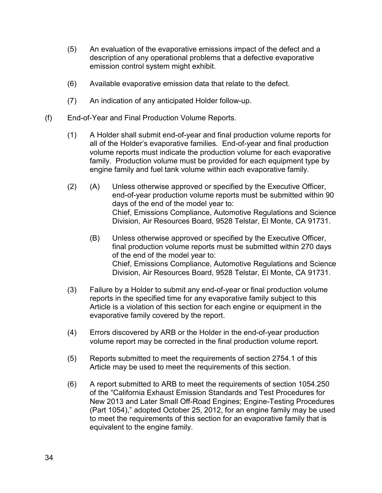- (5) An evaluation of the evaporative emissions impact of the defect and a description of any operational problems that a defective evaporative emission control system might exhibit.
- (6) Available evaporative emission data that relate to the defect.
- (7) An indication of any anticipated Holder follow-up.
- (f) End-of-Year and Final Production Volume Reports.
	- (1) A Holder shall submit end-of-year and final production volume reports for all of the Holder's evaporative families. End-of-year and final production volume reports must indicate the production volume for each evaporative family. Production volume must be provided for each equipment type by engine family and fuel tank volume within each evaporative family.
	- (2) (A) Unless otherwise approved or specified by the Executive Officer, end-of-year production volume reports must be submitted within 90 days of the end of the model year to: Chief, Emissions Compliance, Automotive Regulations and Science Division, Air Resources Board, 9528 Telstar, El Monte, CA 91731.
		- (B) Unless otherwise approved or specified by the Executive Officer, final production volume reports must be submitted within 270 days of the end of the model year to: Chief, Emissions Compliance, Automotive Regulations and Science Division, Air Resources Board, 9528 Telstar, El Monte, CA 91731.
	- (3) Failure by a Holder to submit any end-of-year or final production volume reports in the specified time for any evaporative family subject to this Article is a violation of this section for each engine or equipment in the evaporative family covered by the report.
	- (4) Errors discovered by ARB or the Holder in the end-of-year production volume report may be corrected in the final production volume report.
	- (5) Reports submitted to meet the requirements of section 2754.1 of this Article may be used to meet the requirements of this section.
	- (6) A report submitted to ARB to meet the requirements of section 1054.250 of the "California Exhaust Emission Standards and Test Procedures for New 2013 and Later Small Off-Road Engines; Engine-Testing Procedures (Part 1054)," adopted October 25, 2012, for an engine family may be used to meet the requirements of this section for an evaporative family that is equivalent to the engine family.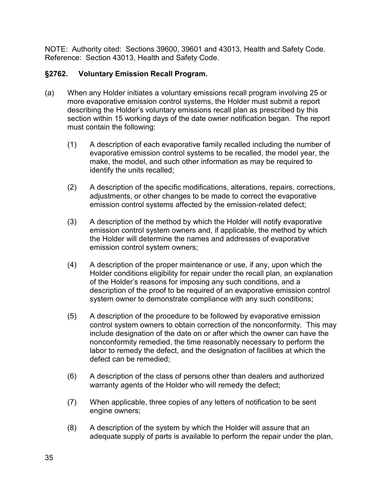# **§2762. Voluntary Emission Recall Program.**

- (a) When any Holder initiates a voluntary emissions recall program involving 25 or more evaporative emission control systems, the Holder must submit a report describing the Holder's voluntary emissions recall plan as prescribed by this section within 15 working days of the date owner notification began. The report must contain the following:
	- (1) A description of each evaporative family recalled including the number of evaporative emission control systems to be recalled, the model year, the make, the model, and such other information as may be required to identify the units recalled;
	- (2) A description of the specific modifications, alterations, repairs, corrections, adjustments, or other changes to be made to correct the evaporative emission control systems affected by the emission-related defect;
	- (3) A description of the method by which the Holder will notify evaporative emission control system owners and, if applicable, the method by which the Holder will determine the names and addresses of evaporative emission control system owners;
	- (4) A description of the proper maintenance or use, if any, upon which the Holder conditions eligibility for repair under the recall plan, an explanation of the Holder's reasons for imposing any such conditions, and a description of the proof to be required of an evaporative emission control system owner to demonstrate compliance with any such conditions;
	- (5) A description of the procedure to be followed by evaporative emission control system owners to obtain correction of the nonconformity. This may include designation of the date on or after which the owner can have the nonconformity remedied, the time reasonably necessary to perform the labor to remedy the defect, and the designation of facilities at which the defect can be remedied;
	- (6) A description of the class of persons other than dealers and authorized warranty agents of the Holder who will remedy the defect;
	- (7) When applicable, three copies of any letters of notification to be sent engine owners;
	- (8) A description of the system by which the Holder will assure that an adequate supply of parts is available to perform the repair under the plan,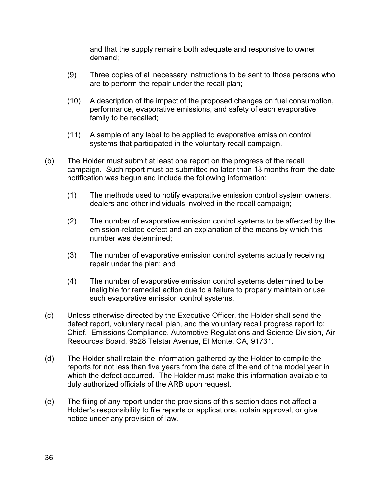and that the supply remains both adequate and responsive to owner demand;

- (9) Three copies of all necessary instructions to be sent to those persons who are to perform the repair under the recall plan;
- (10) A description of the impact of the proposed changes on fuel consumption, performance, evaporative emissions, and safety of each evaporative family to be recalled;
- (11) A sample of any label to be applied to evaporative emission control systems that participated in the voluntary recall campaign.
- (b) The Holder must submit at least one report on the progress of the recall campaign. Such report must be submitted no later than 18 months from the date notification was begun and include the following information:
	- (1) The methods used to notify evaporative emission control system owners, dealers and other individuals involved in the recall campaign;
	- (2) The number of evaporative emission control systems to be affected by the emission-related defect and an explanation of the means by which this number was determined;
	- (3) The number of evaporative emission control systems actually receiving repair under the plan; and
	- (4) The number of evaporative emission control systems determined to be ineligible for remedial action due to a failure to properly maintain or use such evaporative emission control systems.
- (c) Unless otherwise directed by the Executive Officer, the Holder shall send the defect report, voluntary recall plan, and the voluntary recall progress report to: Chief, Emissions Compliance, Automotive Regulations and Science Division, Air Resources Board, 9528 Telstar Avenue, El Monte, CA, 91731.
- (d) The Holder shall retain the information gathered by the Holder to compile the reports for not less than five years from the date of the end of the model year in which the defect occurred. The Holder must make this information available to duly authorized officials of the ARB upon request.
- (e) The filing of any report under the provisions of this section does not affect a Holder's responsibility to file reports or applications, obtain approval, or give notice under any provision of law.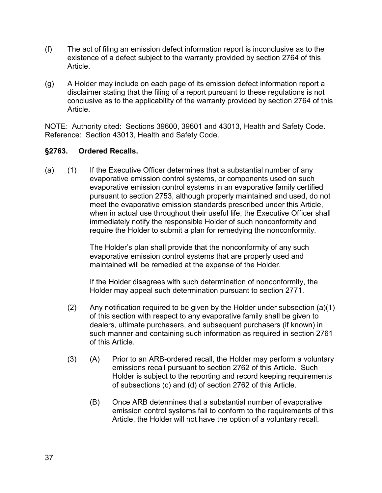- (f) The act of filing an emission defect information report is inconclusive as to the existence of a defect subject to the warranty provided by section 2764 of this Article.
- (g) A Holder may include on each page of its emission defect information report a disclaimer stating that the filing of a report pursuant to these regulations is not conclusive as to the applicability of the warranty provided by section 2764 of this Article.

#### **§2763. Ordered Recalls.**

(a) (1) If the Executive Officer determines that a substantial number of any evaporative emission control systems, or components used on such evaporative emission control systems in an evaporative family certified pursuant to section 2753, although properly maintained and used, do not meet the evaporative emission standards prescribed under this Article, when in actual use throughout their useful life, the Executive Officer shall immediately notify the responsible Holder of such nonconformity and require the Holder to submit a plan for remedying the nonconformity.

> The Holder's plan shall provide that the nonconformity of any such evaporative emission control systems that are properly used and maintained will be remedied at the expense of the Holder.

If the Holder disagrees with such determination of nonconformity, the Holder may appeal such determination pursuant to section 2771.

- (2) Any notification required to be given by the Holder under subsection (a)(1) of this section with respect to any evaporative family shall be given to dealers, ultimate purchasers, and subsequent purchasers (if known) in such manner and containing such information as required in section 2761 of this Article.
- (3) (A) Prior to an ARB-ordered recall, the Holder may perform a voluntary emissions recall pursuant to section 2762 of this Article. Such Holder is subject to the reporting and record keeping requirements of subsections (c) and (d) of section 2762 of this Article.
	- (B) Once ARB determines that a substantial number of evaporative emission control systems fail to conform to the requirements of this Article, the Holder will not have the option of a voluntary recall.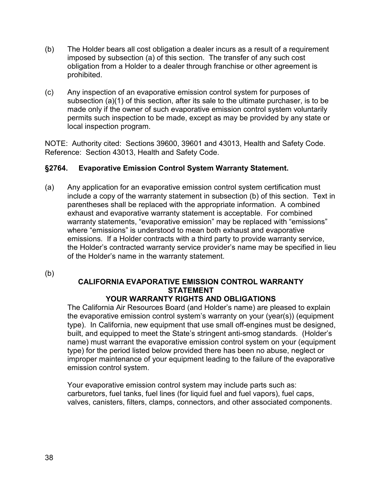- (b) The Holder bears all cost obligation a dealer incurs as a result of a requirement imposed by subsection (a) of this section. The transfer of any such cost obligation from a Holder to a dealer through franchise or other agreement is prohibited.
- (c) Any inspection of an evaporative emission control system for purposes of subsection (a)(1) of this section, after its sale to the ultimate purchaser, is to be made only if the owner of such evaporative emission control system voluntarily permits such inspection to be made, except as may be provided by any state or local inspection program.

# **§2764. Evaporative Emission Control System Warranty Statement.**

(a) Any application for an evaporative emission control system certification must include a copy of the warranty statement in subsection (b) of this section. Text in parentheses shall be replaced with the appropriate information. A combined exhaust and evaporative warranty statement is acceptable. For combined warranty statements, "evaporative emission" may be replaced with "emissions" where "emissions" is understood to mean both exhaust and evaporative emissions. If a Holder contracts with a third party to provide warranty service, the Holder's contracted warranty service provider's name may be specified in lieu of the Holder's name in the warranty statement.

(b)

# **CALIFORNIA EVAPORATIVE EMISSION CONTROL WARRANTY STATEMENT**

# **YOUR WARRANTY RIGHTS AND OBLIGATIONS**

The California Air Resources Board (and Holder's name) are pleased to explain the evaporative emission control system's warranty on your (year(s)) (equipment type). In California, new equipment that use small off-engines must be designed, built, and equipped to meet the State's stringent anti-smog standards. (Holder's name) must warrant the evaporative emission control system on your (equipment type) for the period listed below provided there has been no abuse, neglect or improper maintenance of your equipment leading to the failure of the evaporative emission control system.

Your evaporative emission control system may include parts such as: carburetors, fuel tanks, fuel lines (for liquid fuel and fuel vapors), fuel caps, valves, canisters, filters, clamps, connectors, and other associated components.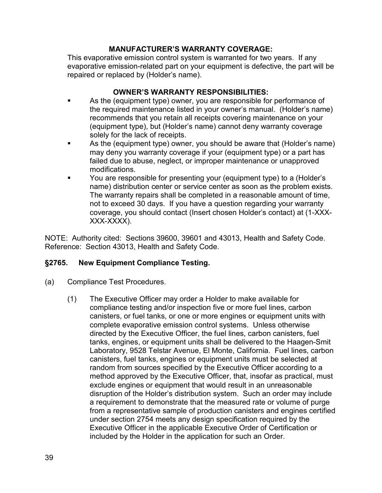### **MANUFACTURER'S WARRANTY COVERAGE:**

This evaporative emission control system is warranted for two years. If any evaporative emission-related part on your equipment is defective, the part will be repaired or replaced by (Holder's name).

### **OWNER'S WARRANTY RESPONSIBILITIES:**

- As the (equipment type) owner, you are responsible for performance of the required maintenance listed in your owner's manual. (Holder's name) recommends that you retain all receipts covering maintenance on your (equipment type), but (Holder's name) cannot deny warranty coverage solely for the lack of receipts.
- As the (equipment type) owner, you should be aware that (Holder's name) may deny you warranty coverage if your (equipment type) or a part has failed due to abuse, neglect, or improper maintenance or unapproved modifications.
- You are responsible for presenting your (equipment type) to a (Holder's name) distribution center or service center as soon as the problem exists. The warranty repairs shall be completed in a reasonable amount of time, not to exceed 30 days. If you have a question regarding your warranty coverage, you should contact (Insert chosen Holder's contact) at (1-XXX-XXX-XXXXX).

NOTE: Authority cited: Sections 39600, 39601 and 43013, Health and Safety Code. Reference: Section 43013, Health and Safety Code.

# **§2765. New Equipment Compliance Testing.**

- (a) Compliance Test Procedures.
	- (1) The Executive Officer may order a Holder to make available for compliance testing and/or inspection five or more fuel lines, carbon canisters, or fuel tanks, or one or more engines or equipment units with complete evaporative emission control systems. Unless otherwise directed by the Executive Officer, the fuel lines, carbon canisters, fuel tanks, engines, or equipment units shall be delivered to the Haagen-Smit Laboratory, 9528 Telstar Avenue, El Monte, California. Fuel lines, carbon canisters, fuel tanks, engines or equipment units must be selected at random from sources specified by the Executive Officer according to a method approved by the Executive Officer, that, insofar as practical, must exclude engines or equipment that would result in an unreasonable disruption of the Holder's distribution system. Such an order may include a requirement to demonstrate that the measured rate or volume of purge from a representative sample of production canisters and engines certified under section 2754 meets any design specification required by the Executive Officer in the applicable Executive Order of Certification or included by the Holder in the application for such an Order.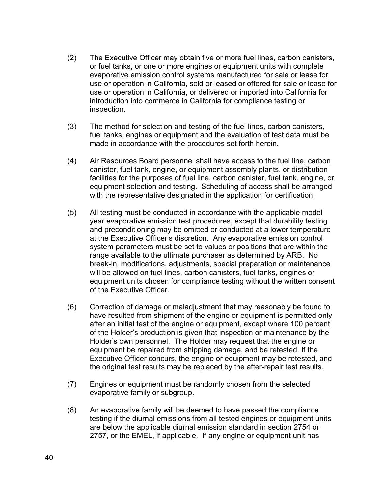- (2) The Executive Officer may obtain five or more fuel lines, carbon canisters, or fuel tanks, or one or more engines or equipment units with complete evaporative emission control systems manufactured for sale or lease for use or operation in California, sold or leased or offered for sale or lease for use or operation in California, or delivered or imported into California for introduction into commerce in California for compliance testing or inspection.
- (3) The method for selection and testing of the fuel lines, carbon canisters, fuel tanks, engines or equipment and the evaluation of test data must be made in accordance with the procedures set forth herein.
- (4) Air Resources Board personnel shall have access to the fuel line, carbon canister, fuel tank, engine, or equipment assembly plants, or distribution facilities for the purposes of fuel line, carbon canister, fuel tank, engine, or equipment selection and testing. Scheduling of access shall be arranged with the representative designated in the application for certification.
- (5) All testing must be conducted in accordance with the applicable model year evaporative emission test procedures, except that durability testing and preconditioning may be omitted or conducted at a lower temperature at the Executive Officer's discretion. Any evaporative emission control system parameters must be set to values or positions that are within the range available to the ultimate purchaser as determined by ARB. No break-in, modifications, adjustments, special preparation or maintenance will be allowed on fuel lines, carbon canisters, fuel tanks, engines or equipment units chosen for compliance testing without the written consent of the Executive Officer.
- (6) Correction of damage or maladjustment that may reasonably be found to have resulted from shipment of the engine or equipment is permitted only after an initial test of the engine or equipment, except where 100 percent of the Holder's production is given that inspection or maintenance by the Holder's own personnel. The Holder may request that the engine or equipment be repaired from shipping damage, and be retested. If the Executive Officer concurs, the engine or equipment may be retested, and the original test results may be replaced by the after-repair test results.
- (7) Engines or equipment must be randomly chosen from the selected evaporative family or subgroup.
- (8) An evaporative family will be deemed to have passed the compliance testing if the diurnal emissions from all tested engines or equipment units are below the applicable diurnal emission standard in section 2754 or 2757, or the EMEL, if applicable. If any engine or equipment unit has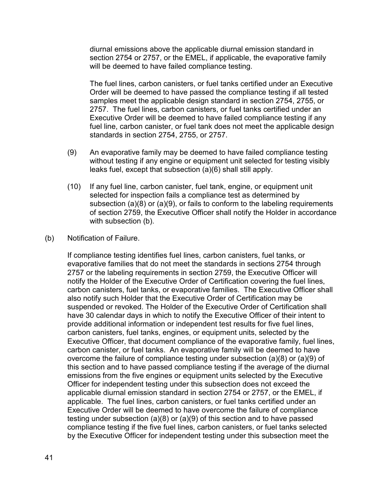diurnal emissions above the applicable diurnal emission standard in section 2754 or 2757, or the EMEL, if applicable, the evaporative family will be deemed to have failed compliance testing.

The fuel lines, carbon canisters, or fuel tanks certified under an Executive Order will be deemed to have passed the compliance testing if all tested samples meet the applicable design standard in section 2754, 2755, or 2757. The fuel lines, carbon canisters, or fuel tanks certified under an Executive Order will be deemed to have failed compliance testing if any fuel line, carbon canister, or fuel tank does not meet the applicable design standards in section 2754, 2755, or 2757.

- (9) An evaporative family may be deemed to have failed compliance testing without testing if any engine or equipment unit selected for testing visibly leaks fuel, except that subsection (a)(6) shall still apply.
- (10) If any fuel line, carbon canister, fuel tank, engine, or equipment unit selected for inspection fails a compliance test as determined by subsection (a)(8) or (a)(9), or fails to conform to the labeling requirements of section 2759, the Executive Officer shall notify the Holder in accordance with subsection (b).
- (b) Notification of Failure.

If compliance testing identifies fuel lines, carbon canisters, fuel tanks, or evaporative families that do not meet the standards in sections 2754 through 2757 or the labeling requirements in section 2759, the Executive Officer will notify the Holder of the Executive Order of Certification covering the fuel lines, carbon canisters, fuel tanks, or evaporative families. The Executive Officer shall also notify such Holder that the Executive Order of Certification may be suspended or revoked. The Holder of the Executive Order of Certification shall have 30 calendar days in which to notify the Executive Officer of their intent to provide additional information or independent test results for five fuel lines, carbon canisters, fuel tanks, engines, or equipment units, selected by the Executive Officer, that document compliance of the evaporative family, fuel lines, carbon canister, or fuel tanks. An evaporative family will be deemed to have overcome the failure of compliance testing under subsection (a)(8) or (a)(9) of this section and to have passed compliance testing if the average of the diurnal emissions from the five engines or equipment units selected by the Executive Officer for independent testing under this subsection does not exceed the applicable diurnal emission standard in section 2754 or 2757, or the EMEL, if applicable. The fuel lines, carbon canisters, or fuel tanks certified under an Executive Order will be deemed to have overcome the failure of compliance testing under subsection (a)(8) or (a)(9) of this section and to have passed compliance testing if the five fuel lines, carbon canisters, or fuel tanks selected by the Executive Officer for independent testing under this subsection meet the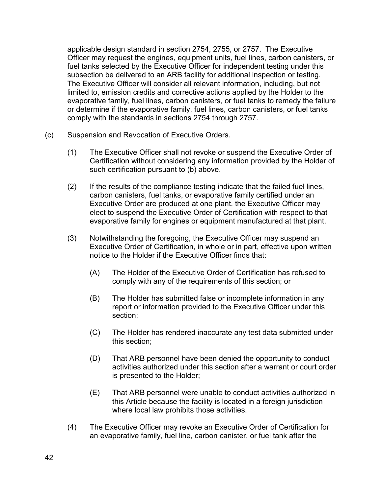applicable design standard in section 2754, 2755, or 2757. The Executive Officer may request the engines, equipment units, fuel lines, carbon canisters, or fuel tanks selected by the Executive Officer for independent testing under this subsection be delivered to an ARB facility for additional inspection or testing. The Executive Officer will consider all relevant information, including, but not limited to, emission credits and corrective actions applied by the Holder to the evaporative family, fuel lines, carbon canisters, or fuel tanks to remedy the failure or determine if the evaporative family, fuel lines, carbon canisters, or fuel tanks comply with the standards in sections 2754 through 2757.

- (c) Suspension and Revocation of Executive Orders.
	- (1) The Executive Officer shall not revoke or suspend the Executive Order of Certification without considering any information provided by the Holder of such certification pursuant to (b) above.
	- (2) If the results of the compliance testing indicate that the failed fuel lines, carbon canisters, fuel tanks, or evaporative family certified under an Executive Order are produced at one plant, the Executive Officer may elect to suspend the Executive Order of Certification with respect to that evaporative family for engines or equipment manufactured at that plant.
	- (3) Notwithstanding the foregoing, the Executive Officer may suspend an Executive Order of Certification, in whole or in part, effective upon written notice to the Holder if the Executive Officer finds that:
		- (A) The Holder of the Executive Order of Certification has refused to comply with any of the requirements of this section; or
		- (B) The Holder has submitted false or incomplete information in any report or information provided to the Executive Officer under this section;
		- (C) The Holder has rendered inaccurate any test data submitted under this section;
		- (D) That ARB personnel have been denied the opportunity to conduct activities authorized under this section after a warrant or court order is presented to the Holder;
		- (E) That ARB personnel were unable to conduct activities authorized in this Article because the facility is located in a foreign jurisdiction where local law prohibits those activities.
	- (4) The Executive Officer may revoke an Executive Order of Certification for an evaporative family, fuel line, carbon canister, or fuel tank after the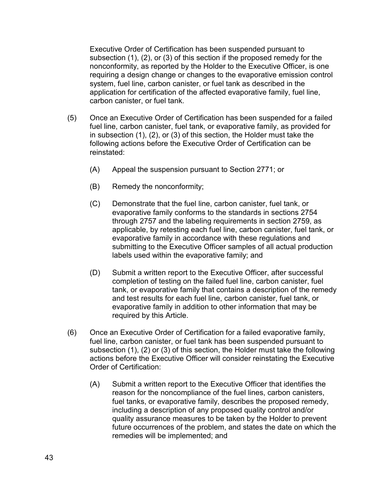Executive Order of Certification has been suspended pursuant to subsection (1), (2), or (3) of this section if the proposed remedy for the nonconformity, as reported by the Holder to the Executive Officer, is one requiring a design change or changes to the evaporative emission control system, fuel line, carbon canister, or fuel tank as described in the application for certification of the affected evaporative family, fuel line, carbon canister, or fuel tank.

- (5) Once an Executive Order of Certification has been suspended for a failed fuel line, carbon canister, fuel tank, or evaporative family, as provided for in subsection (1), (2), or (3) of this section, the Holder must take the following actions before the Executive Order of Certification can be reinstated:
	- (A) Appeal the suspension pursuant to Section 2771; or
	- (B) Remedy the nonconformity;
	- (C) Demonstrate that the fuel line, carbon canister, fuel tank, or evaporative family conforms to the standards in sections 2754 through 2757 and the labeling requirements in section 2759, as applicable, by retesting each fuel line, carbon canister, fuel tank, or evaporative family in accordance with these regulations and submitting to the Executive Officer samples of all actual production labels used within the evaporative family; and
	- (D) Submit a written report to the Executive Officer, after successful completion of testing on the failed fuel line, carbon canister, fuel tank, or evaporative family that contains a description of the remedy and test results for each fuel line, carbon canister, fuel tank, or evaporative family in addition to other information that may be required by this Article.
- (6) Once an Executive Order of Certification for a failed evaporative family, fuel line, carbon canister, or fuel tank has been suspended pursuant to subsection (1), (2) or (3) of this section, the Holder must take the following actions before the Executive Officer will consider reinstating the Executive Order of Certification:
	- (A) Submit a written report to the Executive Officer that identifies the reason for the noncompliance of the fuel lines, carbon canisters, fuel tanks, or evaporative family, describes the proposed remedy, including a description of any proposed quality control and/or quality assurance measures to be taken by the Holder to prevent future occurrences of the problem, and states the date on which the remedies will be implemented; and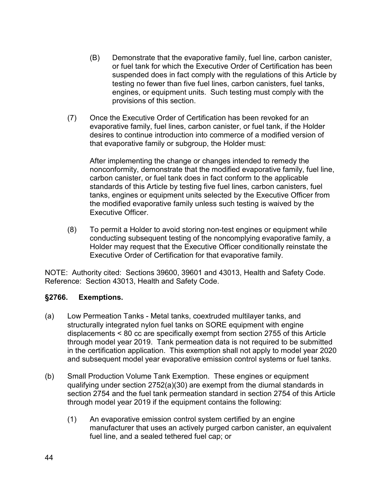- (B) Demonstrate that the evaporative family, fuel line, carbon canister, or fuel tank for which the Executive Order of Certification has been suspended does in fact comply with the regulations of this Article by testing no fewer than five fuel lines, carbon canisters, fuel tanks, engines, or equipment units. Such testing must comply with the provisions of this section.
- (7) Once the Executive Order of Certification has been revoked for an evaporative family, fuel lines, carbon canister, or fuel tank, if the Holder desires to continue introduction into commerce of a modified version of that evaporative family or subgroup, the Holder must:

After implementing the change or changes intended to remedy the nonconformity, demonstrate that the modified evaporative family, fuel line, carbon canister, or fuel tank does in fact conform to the applicable standards of this Article by testing five fuel lines, carbon canisters, fuel tanks, engines or equipment units selected by the Executive Officer from the modified evaporative family unless such testing is waived by the Executive Officer.

(8) To permit a Holder to avoid storing non-test engines or equipment while conducting subsequent testing of the noncomplying evaporative family, a Holder may request that the Executive Officer conditionally reinstate the Executive Order of Certification for that evaporative family.

NOTE: Authority cited: Sections 39600, 39601 and 43013, Health and Safety Code. Reference: Section 43013, Health and Safety Code.

# **§2766. Exemptions.**

- (a) Low Permeation Tanks Metal tanks, coextruded multilayer tanks, and structurally integrated nylon fuel tanks on SORE equipment with engine displacements < 80 cc are specifically exempt from section 2755 of this Article through model year 2019. Tank permeation data is not required to be submitted in the certification application. This exemption shall not apply to model year 2020 and subsequent model year evaporative emission control systems or fuel tanks.
- (b) Small Production Volume Tank Exemption. These engines or equipment qualifying under section 2752(a)(30) are exempt from the diurnal standards in section 2754 and the fuel tank permeation standard in section 2754 of this Article through model year 2019 if the equipment contains the following:
	- (1) An evaporative emission control system certified by an engine manufacturer that uses an actively purged carbon canister, an equivalent fuel line, and a sealed tethered fuel cap; or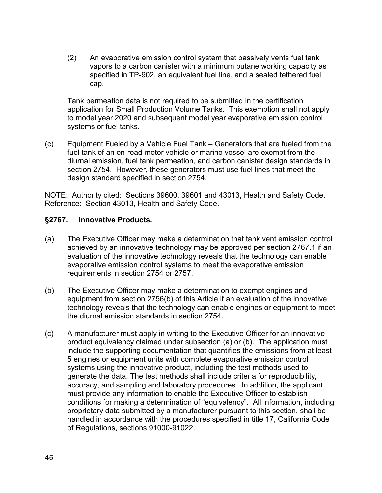(2) An evaporative emission control system that passively vents fuel tank vapors to a carbon canister with a minimum butane working capacity as specified in TP-902, an equivalent fuel line, and a sealed tethered fuel cap.

Tank permeation data is not required to be submitted in the certification application for Small Production Volume Tanks. This exemption shall not apply to model year 2020 and subsequent model year evaporative emission control systems or fuel tanks.

(c) Equipment Fueled by a Vehicle Fuel Tank – Generators that are fueled from the fuel tank of an on-road motor vehicle or marine vessel are exempt from the diurnal emission, fuel tank permeation, and carbon canister design standards in section 2754. However, these generators must use fuel lines that meet the design standard specified in section 2754.

NOTE: Authority cited: Sections 39600, 39601 and 43013, Health and Safety Code. Reference: Section 43013, Health and Safety Code.

# **§2767. Innovative Products.**

- (a) The Executive Officer may make a determination that tank vent emission control achieved by an innovative technology may be approved per section 2767.1 if an evaluation of the innovative technology reveals that the technology can enable evaporative emission control systems to meet the evaporative emission requirements in section 2754 or 2757.
- (b) The Executive Officer may make a determination to exempt engines and equipment from section 2756(b) of this Article if an evaluation of the innovative technology reveals that the technology can enable engines or equipment to meet the diurnal emission standards in section 2754.
- (c) A manufacturer must apply in writing to the Executive Officer for an innovative product equivalency claimed under subsection (a) or (b). The application must include the supporting documentation that quantifies the emissions from at least 5 engines or equipment units with complete evaporative emission control systems using the innovative product, including the test methods used to generate the data. The test methods shall include criteria for reproducibility, accuracy, and sampling and laboratory procedures. In addition, the applicant must provide any information to enable the Executive Officer to establish conditions for making a determination of "equivalency". All information, including proprietary data submitted by a manufacturer pursuant to this section, shall be handled in accordance with the procedures specified in title 17, California Code of Regulations, sections 91000-91022.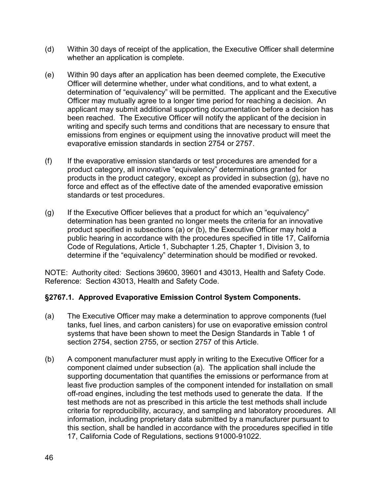- (d) Within 30 days of receipt of the application, the Executive Officer shall determine whether an application is complete.
- (e) Within 90 days after an application has been deemed complete, the Executive Officer will determine whether, under what conditions, and to what extent, a determination of "equivalency" will be permitted. The applicant and the Executive Officer may mutually agree to a longer time period for reaching a decision. An applicant may submit additional supporting documentation before a decision has been reached. The Executive Officer will notify the applicant of the decision in writing and specify such terms and conditions that are necessary to ensure that emissions from engines or equipment using the innovative product will meet the evaporative emission standards in section 2754 or 2757.
- (f) If the evaporative emission standards or test procedures are amended for a product category, all innovative "equivalency" determinations granted for products in the product category, except as provided in subsection (g), have no force and effect as of the effective date of the amended evaporative emission standards or test procedures.
- $(q)$  If the Executive Officer believes that a product for which an "equivalency" determination has been granted no longer meets the criteria for an innovative product specified in subsections (a) or (b), the Executive Officer may hold a public hearing in accordance with the procedures specified in title 17, California Code of Regulations, Article 1, Subchapter 1.25, Chapter 1, Division 3, to determine if the "equivalency" determination should be modified or revoked.

# **§2767.1. Approved Evaporative Emission Control System Components.**

- (a) The Executive Officer may make a determination to approve components (fuel tanks, fuel lines, and carbon canisters) for use on evaporative emission control systems that have been shown to meet the Design Standards in Table 1 of section 2754, section 2755, or section 2757 of this Article.
- (b) A component manufacturer must apply in writing to the Executive Officer for a component claimed under subsection (a). The application shall include the supporting documentation that quantifies the emissions or performance from at least five production samples of the component intended for installation on small off-road engines, including the test methods used to generate the data. If the test methods are not as prescribed in this article the test methods shall include criteria for reproducibility, accuracy, and sampling and laboratory procedures. All information, including proprietary data submitted by a manufacturer pursuant to this section, shall be handled in accordance with the procedures specified in title 17, California Code of Regulations, sections 91000-91022.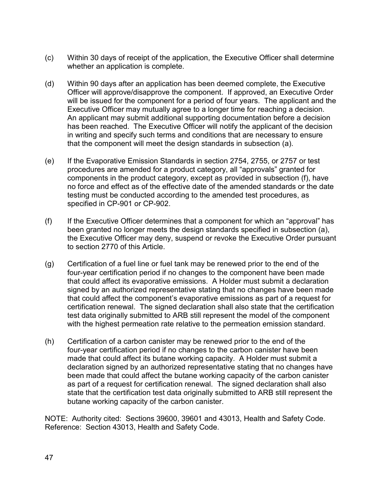- (c) Within 30 days of receipt of the application, the Executive Officer shall determine whether an application is complete.
- (d) Within 90 days after an application has been deemed complete, the Executive Officer will approve/disapprove the component. If approved, an Executive Order will be issued for the component for a period of four years. The applicant and the Executive Officer may mutually agree to a longer time for reaching a decision. An applicant may submit additional supporting documentation before a decision has been reached. The Executive Officer will notify the applicant of the decision in writing and specify such terms and conditions that are necessary to ensure that the component will meet the design standards in subsection (a).
- (e) If the Evaporative Emission Standards in section 2754, 2755, or 2757 or test procedures are amended for a product category, all "approvals" granted for components in the product category, except as provided in subsection (f), have no force and effect as of the effective date of the amended standards or the date testing must be conducted according to the amended test procedures, as specified in CP-901 or CP-902.
- (f) If the Executive Officer determines that a component for which an "approval" has been granted no longer meets the design standards specified in subsection (a), the Executive Officer may deny, suspend or revoke the Executive Order pursuant to section 2770 of this Article.
- (g) Certification of a fuel line or fuel tank may be renewed prior to the end of the four-year certification period if no changes to the component have been made that could affect its evaporative emissions. A Holder must submit a declaration signed by an authorized representative stating that no changes have been made that could affect the component's evaporative emissions as part of a request for certification renewal. The signed declaration shall also state that the certification test data originally submitted to ARB still represent the model of the component with the highest permeation rate relative to the permeation emission standard.
- (h) Certification of a carbon canister may be renewed prior to the end of the four-year certification period if no changes to the carbon canister have been made that could affect its butane working capacity. A Holder must submit a declaration signed by an authorized representative stating that no changes have been made that could affect the butane working capacity of the carbon canister as part of a request for certification renewal. The signed declaration shall also state that the certification test data originally submitted to ARB still represent the butane working capacity of the carbon canister.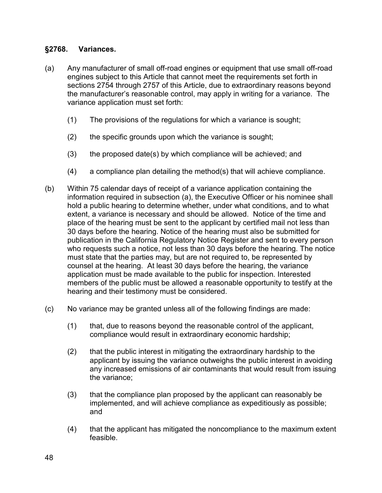# **§2768. Variances.**

- (a) Any manufacturer of small off-road engines or equipment that use small off-road engines subject to this Article that cannot meet the requirements set forth in sections 2754 through 2757 of this Article, due to extraordinary reasons beyond the manufacturer's reasonable control, may apply in writing for a variance. The variance application must set forth:
	- (1) The provisions of the regulations for which a variance is sought;
	- (2) the specific grounds upon which the variance is sought;
	- (3) the proposed date(s) by which compliance will be achieved; and
	- (4) a compliance plan detailing the method(s) that will achieve compliance.
- (b) Within 75 calendar days of receipt of a variance application containing the information required in subsection (a), the Executive Officer or his nominee shall hold a public hearing to determine whether, under what conditions, and to what extent, a variance is necessary and should be allowed. Notice of the time and place of the hearing must be sent to the applicant by certified mail not less than 30 days before the hearing. Notice of the hearing must also be submitted for publication in the California Regulatory Notice Register and sent to every person who requests such a notice, not less than 30 days before the hearing. The notice must state that the parties may, but are not required to, be represented by counsel at the hearing. At least 30 days before the hearing, the variance application must be made available to the public for inspection. Interested members of the public must be allowed a reasonable opportunity to testify at the hearing and their testimony must be considered.
- (c) No variance may be granted unless all of the following findings are made:
	- (1) that, due to reasons beyond the reasonable control of the applicant, compliance would result in extraordinary economic hardship;
	- (2) that the public interest in mitigating the extraordinary hardship to the applicant by issuing the variance outweighs the public interest in avoiding any increased emissions of air contaminants that would result from issuing the variance;
	- (3) that the compliance plan proposed by the applicant can reasonably be implemented, and will achieve compliance as expeditiously as possible; and
	- (4) that the applicant has mitigated the noncompliance to the maximum extent feasible.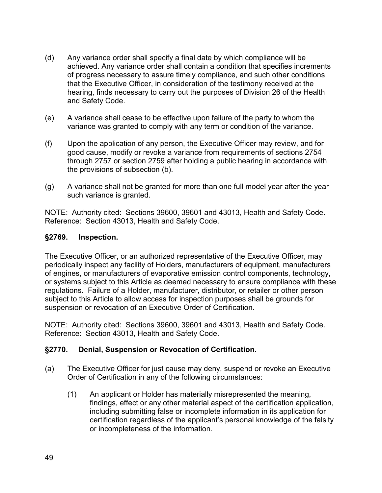- (d) Any variance order shall specify a final date by which compliance will be achieved. Any variance order shall contain a condition that specifies increments of progress necessary to assure timely compliance, and such other conditions that the Executive Officer, in consideration of the testimony received at the hearing, finds necessary to carry out the purposes of Division 26 of the Health and Safety Code.
- (e) A variance shall cease to be effective upon failure of the party to whom the variance was granted to comply with any term or condition of the variance.
- (f) Upon the application of any person, the Executive Officer may review, and for good cause, modify or revoke a variance from requirements of sections 2754 through 2757 or section 2759 after holding a public hearing in accordance with the provisions of subsection (b).
- (g) A variance shall not be granted for more than one full model year after the year such variance is granted.

### **§2769. Inspection.**

The Executive Officer, or an authorized representative of the Executive Officer, may periodically inspect any facility of Holders, manufacturers of equipment, manufacturers of engines, or manufacturers of evaporative emission control components, technology, or systems subject to this Article as deemed necessary to ensure compliance with these regulations. Failure of a Holder, manufacturer, distributor, or retailer or other person subject to this Article to allow access for inspection purposes shall be grounds for suspension or revocation of an Executive Order of Certification.

NOTE: Authority cited: Sections 39600, 39601 and 43013, Health and Safety Code. Reference: Section 43013, Health and Safety Code.

# **§2770. Denial, Suspension or Revocation of Certification.**

- (a) The Executive Officer for just cause may deny, suspend or revoke an Executive Order of Certification in any of the following circumstances:
	- (1) An applicant or Holder has materially misrepresented the meaning, findings, effect or any other material aspect of the certification application, including submitting false or incomplete information in its application for certification regardless of the applicant's personal knowledge of the falsity or incompleteness of the information.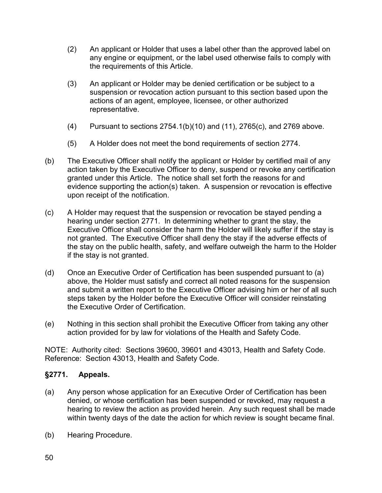- (2) An applicant or Holder that uses a label other than the approved label on any engine or equipment, or the label used otherwise fails to comply with the requirements of this Article.
- (3) An applicant or Holder may be denied certification or be subject to a suspension or revocation action pursuant to this section based upon the actions of an agent, employee, licensee, or other authorized representative.
- (4) Pursuant to sections 2754.1(b)(10) and (11), 2765(c), and 2769 above.
- (5) A Holder does not meet the bond requirements of section 2774.
- (b) The Executive Officer shall notify the applicant or Holder by certified mail of any action taken by the Executive Officer to deny, suspend or revoke any certification granted under this Article. The notice shall set forth the reasons for and evidence supporting the action(s) taken. A suspension or revocation is effective upon receipt of the notification.
- (c) A Holder may request that the suspension or revocation be stayed pending a hearing under section 2771. In determining whether to grant the stay, the Executive Officer shall consider the harm the Holder will likely suffer if the stay is not granted. The Executive Officer shall deny the stay if the adverse effects of the stay on the public health, safety, and welfare outweigh the harm to the Holder if the stay is not granted.
- (d) Once an Executive Order of Certification has been suspended pursuant to (a) above, the Holder must satisfy and correct all noted reasons for the suspension and submit a written report to the Executive Officer advising him or her of all such steps taken by the Holder before the Executive Officer will consider reinstating the Executive Order of Certification.
- (e) Nothing in this section shall prohibit the Executive Officer from taking any other action provided for by law for violations of the Health and Safety Code.

# **§2771. Appeals.**

- (a) Any person whose application for an Executive Order of Certification has been denied, or whose certification has been suspended or revoked, may request a hearing to review the action as provided herein. Any such request shall be made within twenty days of the date the action for which review is sought became final.
- (b) Hearing Procedure.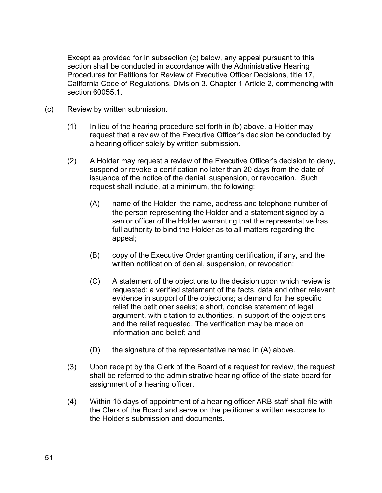Except as provided for in subsection (c) below, any appeal pursuant to this section shall be conducted in accordance with the Administrative Hearing Procedures for Petitions for Review of Executive Officer Decisions, title 17, California Code of Regulations, Division 3. Chapter 1 Article 2, commencing with section 60055.1.

- (c) Review by written submission.
	- (1) In lieu of the hearing procedure set forth in (b) above, a Holder may request that a review of the Executive Officer's decision be conducted by a hearing officer solely by written submission.
	- (2) A Holder may request a review of the Executive Officer's decision to deny, suspend or revoke a certification no later than 20 days from the date of issuance of the notice of the denial, suspension, or revocation. Such request shall include, at a minimum, the following:
		- (A) name of the Holder, the name, address and telephone number of the person representing the Holder and a statement signed by a senior officer of the Holder warranting that the representative has full authority to bind the Holder as to all matters regarding the appeal;
		- (B) copy of the Executive Order granting certification, if any, and the written notification of denial, suspension, or revocation;
		- (C) A statement of the objections to the decision upon which review is requested; a verified statement of the facts, data and other relevant evidence in support of the objections; a demand for the specific relief the petitioner seeks; a short, concise statement of legal argument, with citation to authorities, in support of the objections and the relief requested. The verification may be made on information and belief; and
		- (D) the signature of the representative named in (A) above.
	- (3) Upon receipt by the Clerk of the Board of a request for review, the request shall be referred to the administrative hearing office of the state board for assignment of a hearing officer.
	- (4) Within 15 days of appointment of a hearing officer ARB staff shall file with the Clerk of the Board and serve on the petitioner a written response to the Holder's submission and documents.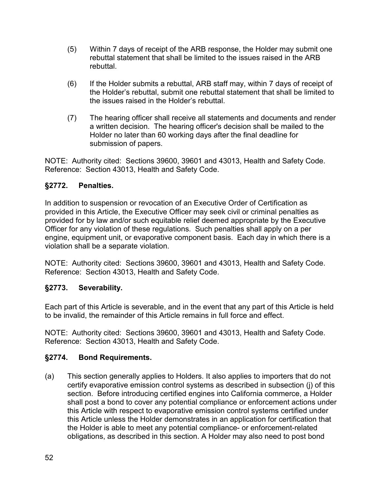- (5) Within 7 days of receipt of the ARB response, the Holder may submit one rebuttal statement that shall be limited to the issues raised in the ARB rebuttal.
- (6) If the Holder submits a rebuttal, ARB staff may, within 7 days of receipt of the Holder's rebuttal, submit one rebuttal statement that shall be limited to the issues raised in the Holder's rebuttal.
- (7) The hearing officer shall receive all statements and documents and render a written decision. The hearing officer's decision shall be mailed to the Holder no later than 60 working days after the final deadline for submission of papers.

# **§2772. Penalties.**

In addition to suspension or revocation of an Executive Order of Certification as provided in this Article, the Executive Officer may seek civil or criminal penalties as provided for by law and/or such equitable relief deemed appropriate by the Executive Officer for any violation of these regulations. Such penalties shall apply on a per engine, equipment unit, or evaporative component basis. Each day in which there is a violation shall be a separate violation.

NOTE: Authority cited: Sections 39600, 39601 and 43013, Health and Safety Code. Reference: Section 43013, Health and Safety Code.

# **§2773. Severability.**

Each part of this Article is severable, and in the event that any part of this Article is held to be invalid, the remainder of this Article remains in full force and effect.

NOTE: Authority cited: Sections 39600, 39601 and 43013, Health and Safety Code. Reference: Section 43013, Health and Safety Code.

# **§2774. Bond Requirements.**

(a) This section generally applies to Holders. It also applies to importers that do not certify evaporative emission control systems as described in subsection (j) of this section. Before introducing certified engines into California commerce, a Holder shall post a bond to cover any potential compliance or enforcement actions under this Article with respect to evaporative emission control systems certified under this Article unless the Holder demonstrates in an application for certification that the Holder is able to meet any potential compliance- or enforcement-related obligations, as described in this section. A Holder may also need to post bond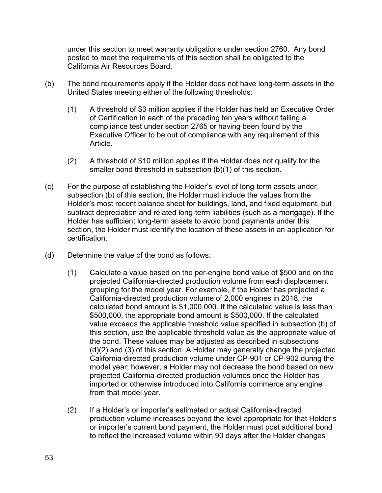under this section to meet warranty obligations under section 2760. Any bond posted to meet the requirements of this section shall be obligated to the California Air Resources Board.

- (b) The bond requirements apply if the Holder does not have long-term assets in the United States meeting either of the following thresholds:
	- (1) A threshold of \$3 million applies if the Holder has held an Executive Order of Certification in each of the preceding ten years without failing a compliance test under section 2765 or having been found by the Executive Officer to be out of compliance with any requirement of this Article.
	- (2) A threshold of \$10 million applies if the Holder does not qualify for the smaller bond threshold in subsection (b)(1) of this section.
- (c) For the purpose of establishing the Holder's level of long-term assets under subsection (b) of this section, the Holder must include the values from the Holder's most recent balance sheet for buildings, land, and fixed equipment, but subtract depreciation and related long-term liabilities (such as a mortgage). If the Holder has sufficient long-term assets to avoid bond payments under this section, the Holder must identify the location of these assets in an application for certification.
- (d) Determine the value of the bond as follows:
	- (1) Calculate a value based on the per-engine bond value of \$500 and on the projected California-directed production volume from each displacement grouping for the model year. For example, if the Holder has projected a California-directed production volume of 2,000 engines in 2018, the calculated bond amount is \$1,000,000. If the calculated value is less than \$500,000, the appropriate bond amount is \$500,000. If the calculated value exceeds the applicable threshold value specified in subsection (b) of this section, use the applicable threshold value as the appropriate value of the bond. These values may be adjusted as described in subsections (d)(2) and (3) of this section. A Holder may generally change the projected California-directed production volume under CP-901 or CP-902 during the model year; however, a Holder may not decrease the bond based on new projected California-directed production volumes once the Holder has imported or otherwise introduced into California commerce any engine from that model year.
	- (2) If a Holder's or importer's estimated or actual California-directed production volume increases beyond the level appropriate for that Holder's or importer's current bond payment, the Holder must post additional bond to reflect the increased volume within 90 days after the Holder changes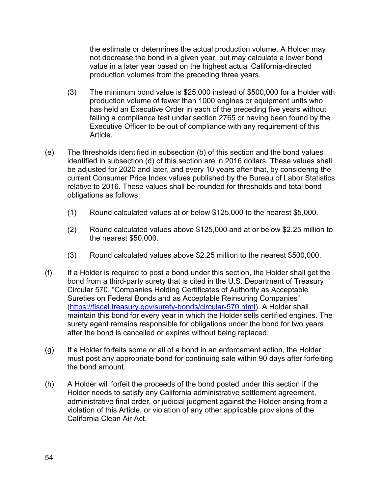the estimate or determines the actual production volume. A Holder may not decrease the bond in a given year, but may calculate a lower bond value in a later year based on the highest actual California-directed production volumes from the preceding three years.

- (3) The minimum bond value is \$25,000 instead of \$500,000 for a Holder with production volume of fewer than 1000 engines or equipment units who has held an Executive Order in each of the preceding five years without failing a compliance test under section 2765 or having been found by the Executive Officer to be out of compliance with any requirement of this Article.
- (e) The thresholds identified in subsection (b) of this section and the bond values identified in subsection (d) of this section are in 2016 dollars. These values shall be adjusted for 2020 and later, and every 10 years after that, by considering the current Consumer Price Index values published by the Bureau of Labor Statistics relative to 2016. These values shall be rounded for thresholds and total bond obligations as follows:
	- (1) Round calculated values at or below \$125,000 to the nearest \$5,000.
	- (2) Round calculated values above \$125,000 and at or below \$2.25 million to the nearest \$50,000.
	- (3) Round calculated values above \$2.25 million to the nearest \$500,000.
- (f) If a Holder is required to post a bond under this section, the Holder shall get the bond from a third-party surety that is cited in the U.S. Department of Treasury Circular 570, "Companies Holding Certificates of Authority as Acceptable Sureties on Federal Bonds and as Acceptable Reinsuring Companies" [\(https://fiscal.treasury.gov/surety-bonds/circular-570.html\)](https://fiscal.treasury.gov/surety-bonds/circular-570.html). A Holder shall maintain this bond for every year in which the Holder sells certified engines. The surety agent remains responsible for obligations under the bond for two years after the bond is cancelled or expires without being replaced.
- (g) If a Holder forfeits some or all of a bond in an enforcement action, the Holder must post any appropriate bond for continuing sale within 90 days after forfeiting the bond amount.
- (h) A Holder will forfeit the proceeds of the bond posted under this section if the Holder needs to satisfy any California administrative settlement agreement, administrative final order, or judicial judgment against the Holder arising from a violation of this Article, or violation of any other applicable provisions of the California Clean Air Act.